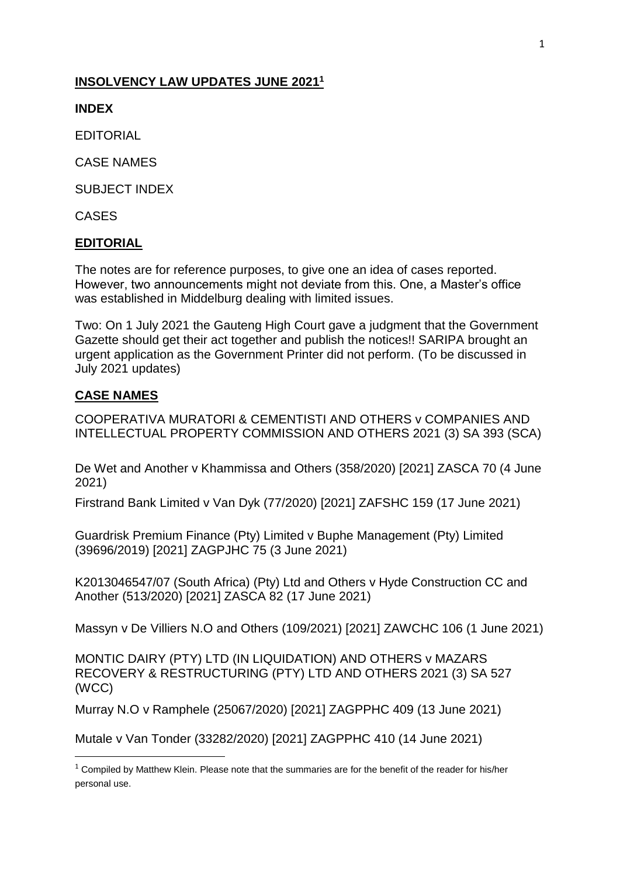### **INSOLVENCY LAW UPDATES JUNE 2021<sup>1</sup>**

**INDEX**

EDITORIAL

CASE NAMES

SUBJECT INDEX

CASES

### **EDITORIAL**

The notes are for reference purposes, to give one an idea of cases reported. However, two announcements might not deviate from this. One, a Master's office was established in Middelburg dealing with limited issues.

Two: On 1 July 2021 the Gauteng High Court gave a judgment that the Government Gazette should get their act together and publish the notices!! SARIPA brought an urgent application as the Government Printer did not perform. (To be discussed in July 2021 updates)

### **CASE NAMES**

**.** 

COOPERATIVA MURATORI & CEMENTISTI AND OTHERS v COMPANIES AND INTELLECTUAL PROPERTY COMMISSION AND OTHERS 2021 (3) SA 393 (SCA)

[De Wet and Another v Khammissa and Others \(358/2020\) \[2021\] ZASCA 70 \(4 June](http://www.saflii.org/za/cases/ZASCA/2021/70.html)  [2021\)](http://www.saflii.org/za/cases/ZASCA/2021/70.html)

[Firstrand Bank Limited v Van Dyk \(77/2020\) \[2021\] ZAFSHC 159 \(17 June 2021\)](http://www.saflii.org/za/cases/ZAFSHC/2021/159.html)

[Guardrisk Premium Finance \(Pty\) Limited v Buphe Management \(Pty\) Limited](http://www.saflii.org/za/cases/ZAGPJHC/2021/75.html)  [\(39696/2019\) \[2021\] ZAGPJHC 75 \(3 June 2021\)](http://www.saflii.org/za/cases/ZAGPJHC/2021/75.html)

[K2013046547/07 \(South Africa\) \(Pty\) Ltd and Others v Hyde Construction CC and](http://www.saflii.org/za/cases/ZASCA/2021/82.html)  [Another \(513/2020\) \[2021\] ZASCA 82 \(17 June 2021\)](http://www.saflii.org/za/cases/ZASCA/2021/82.html)

[Massyn v De Villiers N.O and Others \(109/2021\) \[2021\] ZAWCHC 106 \(1 June 2021\)](http://www.saflii.org/za/cases/ZAWCHC/2021/106.html)

MONTIC DAIRY (PTY) LTD (IN LIQUIDATION) AND OTHERS v MAZARS RECOVERY & RESTRUCTURING (PTY) LTD AND OTHERS 2021 (3) SA 527 (WCC)

[Murray N.O v Ramphele \(25067/2020\) \[2021\] ZAGPPHC 409 \(13 June 2021\)](http://www.saflii.org/za/cases/ZAGPPHC/2021/409.html)

[Mutale v Van Tonder \(33282/2020\) \[2021\] ZAGPPHC 410 \(14 June 2021\)](http://www.saflii.org/za/cases/ZAGPPHC/2021/410.html)

 $1$  Compiled by Matthew Klein. Please note that the summaries are for the benefit of the reader for his/her personal use.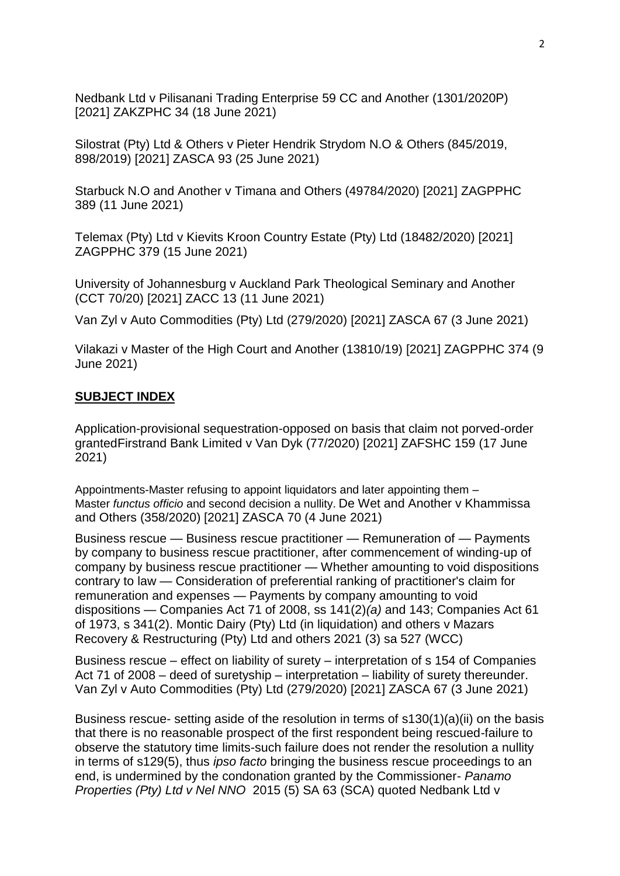[Nedbank Ltd v Pilisanani Trading Enterprise 59 CC and Another \(1301/2020P\)](http://www.saflii.org/za/cases/ZAKZPHC/2021/34.html)  [\[2021\] ZAKZPHC 34 \(18 June 2021\)](http://www.saflii.org/za/cases/ZAKZPHC/2021/34.html)

[Silostrat \(Pty\) Ltd & Others v Pieter Hendrik Strydom N.O & Others \(845/2019,](http://www.saflii.org/za/cases/ZASCA/2021/93.html)  [898/2019\) \[2021\] ZASCA 93 \(25 June 2021\)](http://www.saflii.org/za/cases/ZASCA/2021/93.html)

[Starbuck N.O and Another v Timana and Others \(49784/2020\) \[2021\] ZAGPPHC](http://www.saflii.org/za/cases/ZAGPPHC/2021/389.html)  [389 \(11 June 2021\)](http://www.saflii.org/za/cases/ZAGPPHC/2021/389.html)

[Telemax \(Pty\) Ltd v Kievits Kroon Country Estate \(Pty\) Ltd \(18482/2020\) \[2021\]](http://www.saflii.org/za/cases/ZAGPPHC/2021/379.html)  [ZAGPPHC 379 \(15 June 2021\)](http://www.saflii.org/za/cases/ZAGPPHC/2021/379.html)

[University of Johannesburg v Auckland Park Theological Seminary and Another](http://www.saflii.org/za/cases/ZACC/2021/13.html)  [\(CCT 70/20\) \[2021\] ZACC 13 \(11 June 2021\)](http://www.saflii.org/za/cases/ZACC/2021/13.html)

[Van Zyl v Auto Commodities \(Pty\) Ltd \(279/2020\) \[2021\] ZASCA 67 \(3 June 2021\)](http://www.saflii.org/za/cases/ZASCA/2021/67.html)

[Vilakazi v Master of the High Court and Another \(13810/19\) \[2021\] ZAGPPHC 374 \(9](http://www.saflii.org/za/cases/ZAGPPHC/2021/374.html)  [June 2021\)](http://www.saflii.org/za/cases/ZAGPPHC/2021/374.html)

### **SUBJECT INDEX**

Application-provisional sequestration-opposed on basis that claim not porved-order grante[dFirstrand Bank Limited v Van Dyk \(77/2020\) \[2021\] ZAFSHC 159 \(17 June](http://www.saflii.org/za/cases/ZAFSHC/2021/159.html)  [2021\)](http://www.saflii.org/za/cases/ZAFSHC/2021/159.html)

Appointments-Master refusing to appoint liquidators and later appointing them – Master *functus officio* and second decision a nullity. [De Wet and Another v Khammissa](http://www.saflii.org/za/cases/ZASCA/2021/70.html)  [and Others \(358/2020\) \[2021\] ZASCA 70 \(4 June 2021\)](http://www.saflii.org/za/cases/ZASCA/2021/70.html)

Business rescue — Business rescue practitioner — Remuneration of — Payments by company to business rescue practitioner, after commencement of winding-up of company by business rescue practitioner — Whether amounting to void dispositions contrary to law — Consideration of preferential ranking of practitioner's claim for remuneration and expenses — Payments by company amounting to void dispositions — Companies Act 71 of 2008, ss 141(2)*(a)* and 143; Companies Act 61 of 1973, s 341(2). Montic Dairy (Pty) Ltd (in liquidation) and others v Mazars Recovery & Restructuring (Pty) Ltd and others 2021 (3) sa 527 (WCC)

Business rescue – effect on liability of surety – interpretation of s 154 of [Companies](http://www.saflii.org/za/legis/consol_act/ca2008107/)  [Act 71 of 2008](http://www.saflii.org/za/legis/consol_act/ca2008107/) – deed of suretyship – interpretation – liability of surety thereunder. [Van Zyl v Auto Commodities \(Pty\) Ltd \(279/2020\) \[2021\] ZASCA 67 \(3 June 2021\)](http://www.saflii.org/za/cases/ZASCA/2021/67.html)

Business rescue- setting aside of the resolution in terms of s130(1)(a)(ii) on the basis that there is no reasonable prospect of the first respondent being rescued-failure to observe the statutory time limits-such failure does not render the resolution a nullity in terms of s129(5), thus *ipso facto* bringing the business rescue proceedings to an end, is undermined by the condonation granted by the Commissioner- *Panamo Properties (Pty) Ltd v Nel NNO* [2015 \(5\) SA 63](https://jutastat.juta.co.za/nxt/foliolinks.asp?f=xhitlist&xhitlist_x=Advanced&xhitlist_vpc=first&xhitlist_xsl=querylink.xsl&xhitlist_sel=title;path;content-type;home-title&xhitlist_d=%7Bsalr%7D&xhitlist_q=%5Bfield%20folio-destination-name:%272015563%27%5D&xhitlist_md=target-id=0-0-0-24331) (SCA) quoted [Nedbank Ltd v](http://www.saflii.org/za/cases/ZAKZPHC/2021/34.html)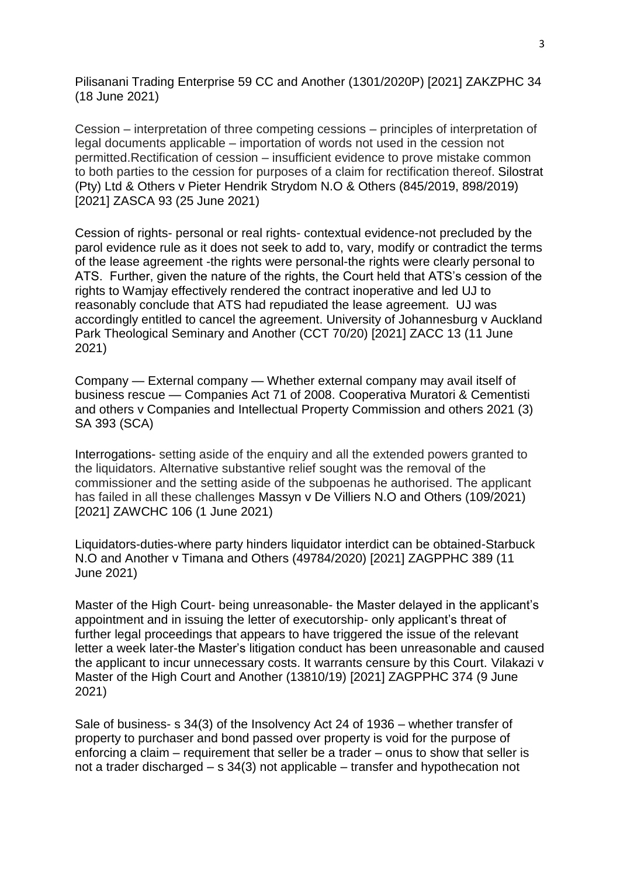[Pilisanani Trading Enterprise 59 CC and Another \(1301/2020P\) \[2021\] ZAKZPHC 34](http://www.saflii.org/za/cases/ZAKZPHC/2021/34.html)  [\(18 June 2021\)](http://www.saflii.org/za/cases/ZAKZPHC/2021/34.html)

Cession – interpretation of three competing cessions – principles of interpretation of legal documents applicable – importation of words not used in the cession not permitted.Rectification of cession – insufficient evidence to prove mistake common to both parties to the cession for purposes of a claim for rectification thereof. [Silostrat](http://www.saflii.org/za/cases/ZASCA/2021/93.html)  [\(Pty\) Ltd & Others v Pieter Hendrik Strydom N.O & Others \(845/2019, 898/2019\)](http://www.saflii.org/za/cases/ZASCA/2021/93.html)  [\[2021\] ZASCA 93 \(25 June 2021\)](http://www.saflii.org/za/cases/ZASCA/2021/93.html)

Cession of rights- personal or real rights- contextual evidence-not precluded by the parol evidence rule as it does not seek to add to, vary, modify or contradict the terms of the lease agreement -the rights were personal-the rights were clearly personal to ATS. Further, given the nature of the rights, the Court held that ATS's cession of the rights to Wamjay effectively rendered the contract inoperative and led UJ to reasonably conclude that ATS had repudiated the lease agreement. UJ was accordingly entitled to cancel the agreement. [University of Johannesburg v Auckland](http://www.saflii.org/za/cases/ZACC/2021/13.html)  [Park Theological Seminary and Another \(CCT 70/20\) \[2021\] ZACC 13 \(11 June](http://www.saflii.org/za/cases/ZACC/2021/13.html)  [2021\)](http://www.saflii.org/za/cases/ZACC/2021/13.html)

Company — External company — Whether external company may avail itself of business rescue — Companies Act 71 of 2008. Cooperativa Muratori & Cementisti and others v Companies and Intellectual Property Commission and others 2021 (3) SA 393 (SCA)

Interrogations- setting aside of the enquiry and all the extended powers granted to the liquidators. Alternative substantive relief sought was the removal of the commissioner and the setting aside of the subpoenas he authorised. The applicant has failed in all these challenges [Massyn v De Villiers N.O and Others \(109/2021\)](http://www.saflii.org/za/cases/ZAWCHC/2021/106.html)  [\[2021\] ZAWCHC 106 \(1 June 2021\)](http://www.saflii.org/za/cases/ZAWCHC/2021/106.html)

Liquidators-duties-where party hinders liquidator interdict can be obtained[-Starbuck](http://www.saflii.org/za/cases/ZAGPPHC/2021/389.html)  [N.O and Another v Timana and Others \(49784/2020\) \[2021\] ZAGPPHC 389 \(11](http://www.saflii.org/za/cases/ZAGPPHC/2021/389.html)  [June 2021\)](http://www.saflii.org/za/cases/ZAGPPHC/2021/389.html)

Master of the High Court- being unreasonable- the Master delayed in the applicant's appointment and in issuing the letter of executorship- only applicant's threat of further legal proceedings that appears to have triggered the issue of the relevant letter a week later-the Master's litigation conduct has been unreasonable and caused the applicant to incur unnecessary costs. It warrants censure by this Court. [Vilakazi v](http://www.saflii.org/za/cases/ZAGPPHC/2021/374.html)  [Master of the High Court and Another \(13810/19\)](http://www.saflii.org/za/cases/ZAGPPHC/2021/374.html) [2021] ZAGPPHC 374 (9 June [2021\)](http://www.saflii.org/za/cases/ZAGPPHC/2021/374.html)

Sale of business- s [34\(3\)](http://www.saflii.org/za/legis/consol_act/ia1936149/index.html#s34) of the [Insolvency Act 24 of 1936](http://www.saflii.org/za/legis/consol_act/ia1936149/) – whether transfer of property to purchaser and bond passed over property is void for the purpose of enforcing a claim – requirement that seller be a trader – onus to show that seller is not a trader discharged – s [34\(3\)](http://www.saflii.org/za/legis/consol_act/ia1936149/index.html#s34) not applicable – transfer and hypothecation not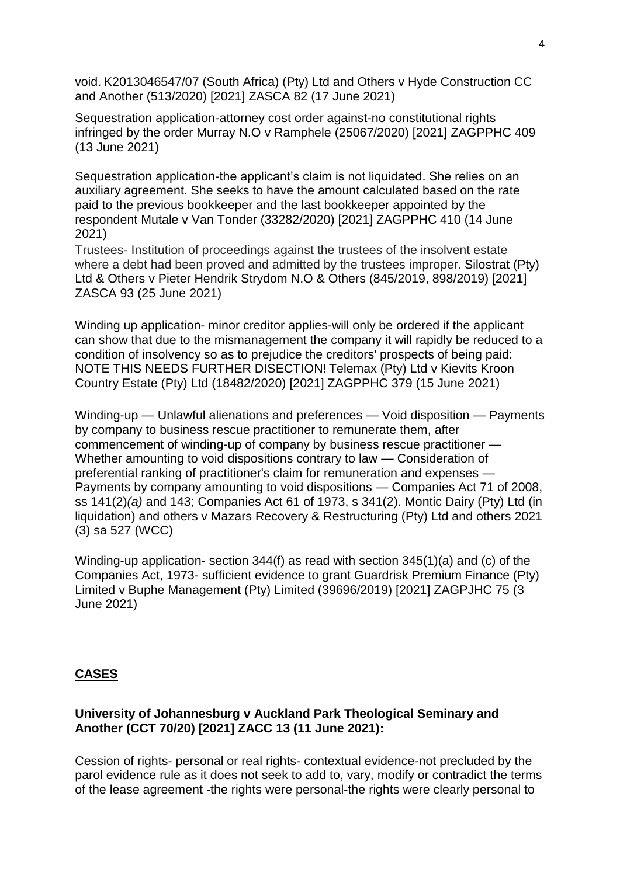void. [K2013046547/07 \(South Africa\) \(Pty\) Ltd and Others v Hyde Construction CC](http://www.saflii.org/za/cases/ZASCA/2021/82.html)  [and Another \(513/2020\) \[2021\] ZASCA 82 \(17 June 2021\)](http://www.saflii.org/za/cases/ZASCA/2021/82.html)

Sequestration application-attorney cost order against-no constitutional rights infringed by the order [Murray N.O v Ramphele \(25067/2020\) \[2021\] ZAGPPHC 409](http://www.saflii.org/za/cases/ZAGPPHC/2021/409.html)  [\(13 June 2021\)](http://www.saflii.org/za/cases/ZAGPPHC/2021/409.html)

Sequestration application-the applicant's claim is not liquidated. She relies on an auxiliary agreement. She seeks to have the amount calculated based on the rate paid to the previous bookkeeper and the last bookkeeper appointed by the respondent [Mutale v Van Tonder \(33282/2020\) \[2021\] ZAGPPHC 410 \(14 June](http://www.saflii.org/za/cases/ZAGPPHC/2021/410.html)  [2021\)](http://www.saflii.org/za/cases/ZAGPPHC/2021/410.html)

Trustees- Institution of proceedings against the trustees of the insolvent estate where a debt had been proved and admitted by the trustees improper. [Silostrat \(Pty\)](http://www.saflii.org/za/cases/ZASCA/2021/93.html)  [Ltd & Others v Pieter Hendrik Strydom N.O & Others \(845/2019, 898/2019\) \[2021\]](http://www.saflii.org/za/cases/ZASCA/2021/93.html)  [ZASCA 93 \(25 June 2021\)](http://www.saflii.org/za/cases/ZASCA/2021/93.html)

Winding up application- minor creditor applies-will only be ordered if the applicant can show that due to the mismanagement the company it will rapidly be reduced to a condition of insolvency so as to prejudice the creditors' prospects of being paid: NOTE THIS NEEDS FURTHER DISECTION! [Telemax \(Pty\) Ltd v Kievits Kroon](http://www.saflii.org/za/cases/ZAGPPHC/2021/379.html)  [Country Estate \(Pty\) Ltd \(18482/2020\) \[2021\] ZAGPPHC 379 \(15 June 2021\)](http://www.saflii.org/za/cases/ZAGPPHC/2021/379.html)

Winding-up — Unlawful alienations and preferences — Void disposition — Payments by company to business rescue practitioner to remunerate them, after commencement of winding-up of company by business rescue practitioner — Whether amounting to void dispositions contrary to law — Consideration of preferential ranking of practitioner's claim for remuneration and expenses — Payments by company amounting to void dispositions — Companies Act 71 of 2008, ss 141(2)*(a)* and 143; Companies Act 61 of 1973, s 341(2). Montic Dairy (Pty) Ltd (in liquidation) and others v Mazars Recovery & Restructuring (Pty) Ltd and others 2021 (3) sa 527 (WCC)

Winding-up application- section 344(f) as read with section 345(1)(a) and (c) of the Companies Act, 1973- sufficient evidence to grant [Guardrisk Premium Finance \(Pty\)](http://www.saflii.org/za/cases/ZAGPJHC/2021/75.html)  [Limited v Buphe Management \(Pty\) Limited \(39696/2019\) \[2021\] ZAGPJHC 75 \(3](http://www.saflii.org/za/cases/ZAGPJHC/2021/75.html)  [June 2021\)](http://www.saflii.org/za/cases/ZAGPJHC/2021/75.html)

### **CASES**

#### **[University of Johannesburg v Auckland Park Theological Seminary and](http://www.saflii.org/za/cases/ZACC/2021/13.html)  [Another \(CCT 70/20\) \[2021\] ZACC 13 \(11 June 2021\):](http://www.saflii.org/za/cases/ZACC/2021/13.html)**

Cession of rights- personal or real rights- contextual evidence-not precluded by the parol evidence rule as it does not seek to add to, vary, modify or contradict the terms of the lease agreement -the rights were personal-the rights were clearly personal to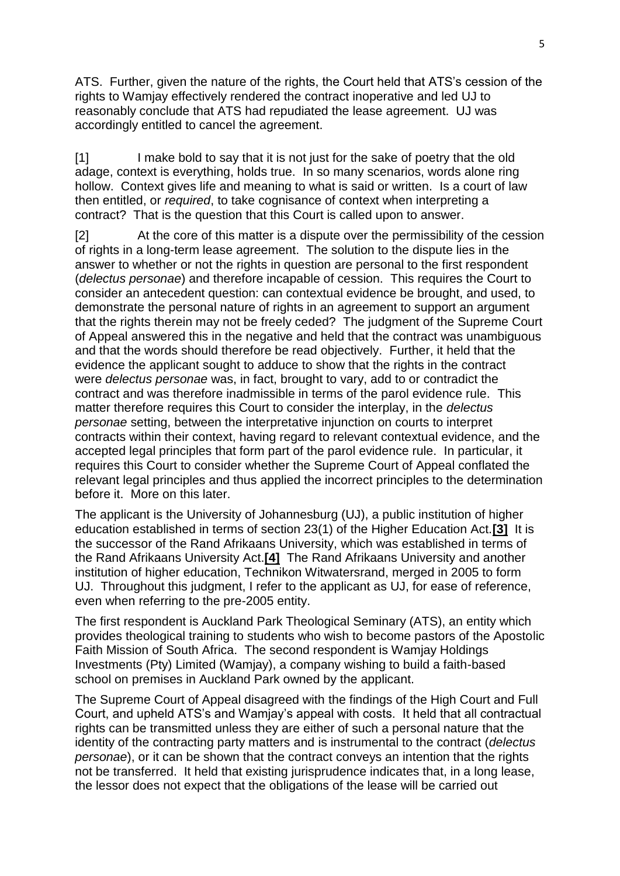ATS. Further, given the nature of the rights, the Court held that ATS's cession of the rights to Wamjay effectively rendered the contract inoperative and led UJ to reasonably conclude that ATS had repudiated the lease agreement. UJ was accordingly entitled to cancel the agreement.

[1] I make bold to say that it is not just for the sake of poetry that the old adage, context is everything, holds true. In so many scenarios, words alone ring hollow. Context gives life and meaning to what is said or written. Is a court of law then entitled, or *required*, to take cognisance of context when interpreting a contract? That is the question that this Court is called upon to answer.

[2] At the core of this matter is a dispute over the permissibility of the cession of rights in a long-term lease agreement. The solution to the dispute lies in the answer to whether or not the rights in question are personal to the first respondent (*delectus personae*) and therefore incapable of cession. This requires the Court to consider an antecedent question: can contextual evidence be brought, and used, to demonstrate the personal nature of rights in an agreement to support an argument that the rights therein may not be freely ceded? The judgment of the Supreme Court of Appeal answered this in the negative and held that the contract was unambiguous and that the words should therefore be read objectively. Further, it held that the evidence the applicant sought to adduce to show that the rights in the contract were *delectus personae* was, in fact, brought to vary, add to or contradict the contract and was therefore inadmissible in terms of the parol evidence rule. This matter therefore requires this Court to consider the interplay, in the *delectus personae* setting, between the interpretative injunction on courts to interpret contracts within their context, having regard to relevant contextual evidence, and the accepted legal principles that form part of the parol evidence rule. In particular, it requires this Court to consider whether the Supreme Court of Appeal conflated the relevant legal principles and thus applied the incorrect principles to the determination before it. More on this later.

The applicant is the University of Johannesburg (UJ), a public institution of higher education established in terms of section 23(1) of the Higher Education Act.**[\[3\]](http://www.saflii.org/za/cases/ZACC/2021/13.html#_ftn3)** It is the successor of the Rand Afrikaans University, which was established in terms of the Rand Afrikaans University Act.**[\[4\]](http://www.saflii.org/za/cases/ZACC/2021/13.html#_ftn4)** The Rand Afrikaans University and another institution of higher education, Technikon Witwatersrand, merged in 2005 to form UJ. Throughout this judgment, I refer to the applicant as UJ, for ease of reference, even when referring to the pre-2005 entity.

The first respondent is Auckland Park Theological Seminary (ATS), an entity which provides theological training to students who wish to become pastors of the Apostolic Faith Mission of South Africa. The second respondent is Wamjay Holdings Investments (Pty) Limited (Wamjay), a company wishing to build a faith-based school on premises in Auckland Park owned by the applicant.

The Supreme Court of Appeal disagreed with the findings of the High Court and Full Court, and upheld ATS's and Wamjay's appeal with costs. It held that all contractual rights can be transmitted unless they are either of such a personal nature that the identity of the contracting party matters and is instrumental to the contract (*delectus personae*), or it can be shown that the contract conveys an intention that the rights not be transferred. It held that existing jurisprudence indicates that, in a long lease, the lessor does not expect that the obligations of the lease will be carried out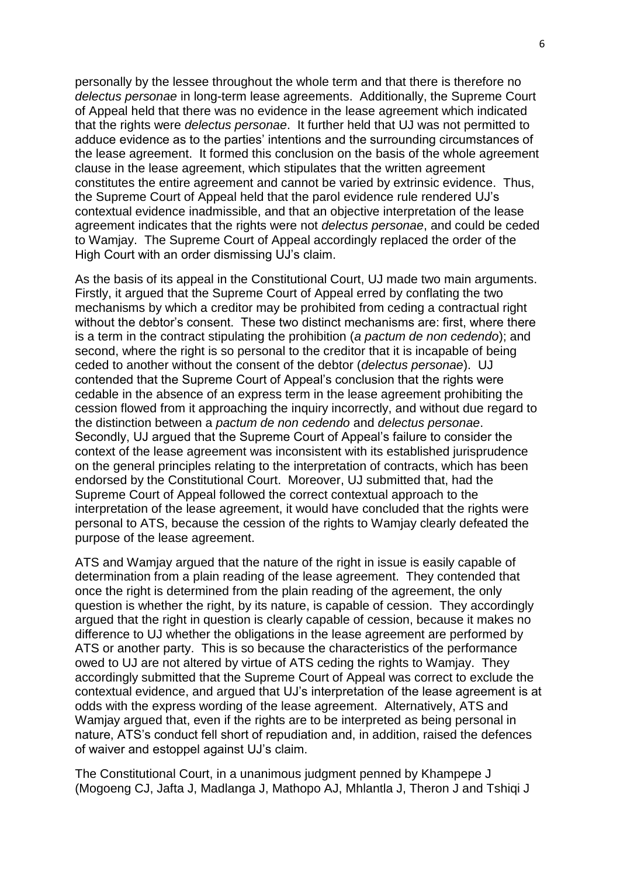personally by the lessee throughout the whole term and that there is therefore no *delectus personae* in long-term lease agreements. Additionally, the Supreme Court of Appeal held that there was no evidence in the lease agreement which indicated that the rights were *delectus personae*. It further held that UJ was not permitted to adduce evidence as to the parties' intentions and the surrounding circumstances of the lease agreement. It formed this conclusion on the basis of the whole agreement clause in the lease agreement, which stipulates that the written agreement constitutes the entire agreement and cannot be varied by extrinsic evidence. Thus, the Supreme Court of Appeal held that the parol evidence rule rendered UJ's contextual evidence inadmissible, and that an objective interpretation of the lease agreement indicates that the rights were not *delectus personae*, and could be ceded to Wamjay. The Supreme Court of Appeal accordingly replaced the order of the High Court with an order dismissing UJ's claim.

As the basis of its appeal in the Constitutional Court, UJ made two main arguments. Firstly, it argued that the Supreme Court of Appeal erred by conflating the two mechanisms by which a creditor may be prohibited from ceding a contractual right without the debtor's consent. These two distinct mechanisms are: first, where there is a term in the contract stipulating the prohibition (*a pactum de non cedendo*); and second, where the right is so personal to the creditor that it is incapable of being ceded to another without the consent of the debtor (*delectus personae*). UJ contended that the Supreme Court of Appeal's conclusion that the rights were cedable in the absence of an express term in the lease agreement prohibiting the cession flowed from it approaching the inquiry incorrectly, and without due regard to the distinction between a *pactum de non cedendo* and *delectus personae*. Secondly, UJ argued that the Supreme Court of Appeal's failure to consider the context of the lease agreement was inconsistent with its established jurisprudence on the general principles relating to the interpretation of contracts, which has been endorsed by the Constitutional Court. Moreover, UJ submitted that, had the Supreme Court of Appeal followed the correct contextual approach to the interpretation of the lease agreement, it would have concluded that the rights were personal to ATS, because the cession of the rights to Wamjay clearly defeated the purpose of the lease agreement.

ATS and Wamjay argued that the nature of the right in issue is easily capable of determination from a plain reading of the lease agreement. They contended that once the right is determined from the plain reading of the agreement, the only question is whether the right, by its nature, is capable of cession. They accordingly argued that the right in question is clearly capable of cession, because it makes no difference to UJ whether the obligations in the lease agreement are performed by ATS or another party. This is so because the characteristics of the performance owed to UJ are not altered by virtue of ATS ceding the rights to Wamjay. They accordingly submitted that the Supreme Court of Appeal was correct to exclude the contextual evidence, and argued that UJ's interpretation of the lease agreement is at odds with the express wording of the lease agreement. Alternatively, ATS and Wamjay argued that, even if the rights are to be interpreted as being personal in nature, ATS's conduct fell short of repudiation and, in addition, raised the defences of waiver and estoppel against UJ's claim.

The Constitutional Court, in a unanimous judgment penned by Khampepe J (Mogoeng CJ, Jafta J, Madlanga J, Mathopo AJ, Mhlantla J, Theron J and Tshiqi J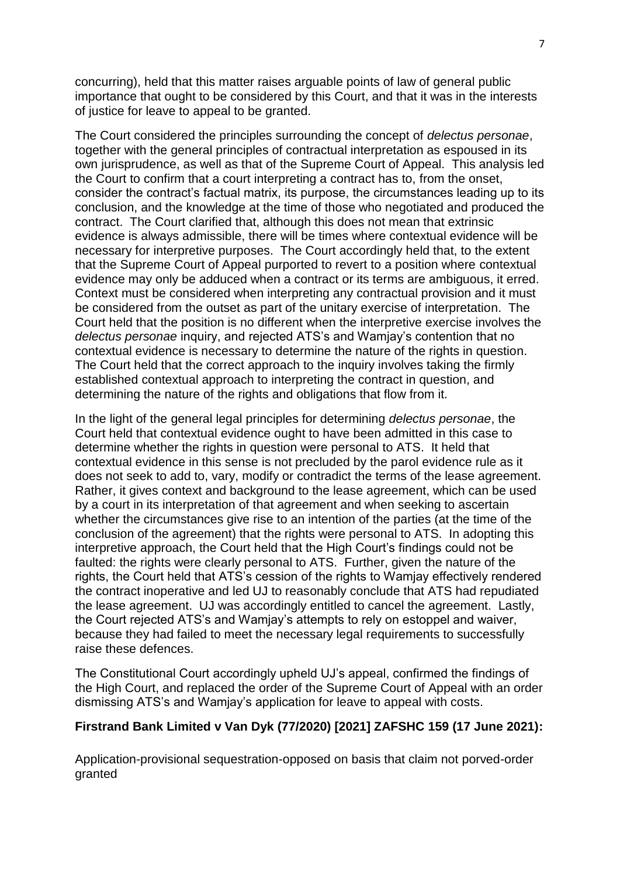concurring), held that this matter raises arguable points of law of general public importance that ought to be considered by this Court, and that it was in the interests of justice for leave to appeal to be granted.

The Court considered the principles surrounding the concept of *delectus personae*, together with the general principles of contractual interpretation as espoused in its own jurisprudence, as well as that of the Supreme Court of Appeal. This analysis led the Court to confirm that a court interpreting a contract has to, from the onset, consider the contract's factual matrix, its purpose, the circumstances leading up to its conclusion, and the knowledge at the time of those who negotiated and produced the contract. The Court clarified that, although this does not mean that extrinsic evidence is always admissible, there will be times where contextual evidence will be necessary for interpretive purposes. The Court accordingly held that, to the extent that the Supreme Court of Appeal purported to revert to a position where contextual evidence may only be adduced when a contract or its terms are ambiguous, it erred. Context must be considered when interpreting any contractual provision and it must be considered from the outset as part of the unitary exercise of interpretation. The Court held that the position is no different when the interpretive exercise involves the *delectus personae* inquiry, and rejected ATS's and Wamjay's contention that no contextual evidence is necessary to determine the nature of the rights in question. The Court held that the correct approach to the inquiry involves taking the firmly established contextual approach to interpreting the contract in question, and determining the nature of the rights and obligations that flow from it.

In the light of the general legal principles for determining *delectus personae*, the Court held that contextual evidence ought to have been admitted in this case to determine whether the rights in question were personal to ATS. It held that contextual evidence in this sense is not precluded by the parol evidence rule as it does not seek to add to, vary, modify or contradict the terms of the lease agreement. Rather, it gives context and background to the lease agreement, which can be used by a court in its interpretation of that agreement and when seeking to ascertain whether the circumstances give rise to an intention of the parties (at the time of the conclusion of the agreement) that the rights were personal to ATS. In adopting this interpretive approach, the Court held that the High Court's findings could not be faulted: the rights were clearly personal to ATS. Further, given the nature of the rights, the Court held that ATS's cession of the rights to Wamjay effectively rendered the contract inoperative and led UJ to reasonably conclude that ATS had repudiated the lease agreement. UJ was accordingly entitled to cancel the agreement. Lastly, the Court rejected ATS's and Wamjay's attempts to rely on estoppel and waiver, because they had failed to meet the necessary legal requirements to successfully raise these defences.

The Constitutional Court accordingly upheld UJ's appeal, confirmed the findings of the High Court, and replaced the order of the Supreme Court of Appeal with an order dismissing ATS's and Wamjay's application for leave to appeal with costs.

### **[Firstrand Bank Limited v Van Dyk \(77/2020\) \[2021\] ZAFSHC 159 \(17 June 2021\):](http://www.saflii.org/za/cases/ZAFSHC/2021/159.html)**

Application-provisional sequestration-opposed on basis that claim not porved-order granted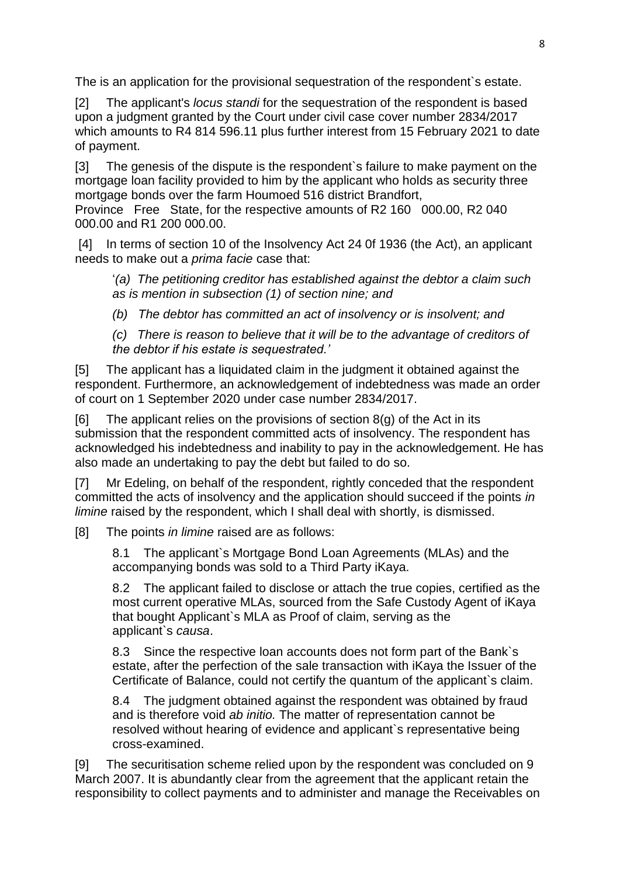The is an application for the provisional sequestration of the respondent`s estate.

[2] The applicant's *locus standi* for the sequestration of the respondent is based upon a judgment granted by the Court under civil case cover number 2834/2017 which amounts to R4 814 596.11 plus further interest from 15 February 2021 to date of payment.

[3] The genesis of the dispute is the respondent`s failure to make payment on the mortgage loan facility provided to him by the applicant who holds as security three mortgage bonds over the farm Houmoed 516 district Brandfort,

Province Free State, for the respective amounts of R2 160 000.00, R2 040 000.00 and R1 200 000.00.

[4] In terms of section 10 of the Insolvency Act 24 0f 1936 (the Act), an applicant needs to make out a *prima facie* case that:

'*(a) The petitioning creditor has established against the debtor a claim such as is mention in subsection (1) of section nine; and*

*(b) The debtor has committed an act of insolvency or is insolvent; and*

*(c) There is reason to believe that it will be to the advantage of creditors of the debtor if his estate is sequestrated.'*

[5] The applicant has a liquidated claim in the judgment it obtained against the respondent. Furthermore, an acknowledgement of indebtedness was made an order of court on 1 September 2020 under case number 2834/2017.

 $[6]$  The applicant relies on the provisions of section  $8(q)$  of the Act in its submission that the respondent committed acts of insolvency. The respondent has acknowledged his indebtedness and inability to pay in the acknowledgement. He has also made an undertaking to pay the debt but failed to do so.

[7] Mr Edeling, on behalf of the respondent, rightly conceded that the respondent committed the acts of insolvency and the application should succeed if the points *in limine* raised by the respondent, which I shall deal with shortly, is dismissed.

[8] The points *in limine* raised are as follows:

8.1 The applicant`s Mortgage Bond Loan Agreements (MLAs) and the accompanying bonds was sold to a Third Party iKaya.

8.2 The applicant failed to disclose or attach the true copies, certified as the most current operative MLAs, sourced from the Safe Custody Agent of iKaya that bought Applicant`s MLA as Proof of claim, serving as the applicant`s *causa*.

8.3 Since the respective loan accounts does not form part of the Bank`s estate, after the perfection of the sale transaction with iKaya the Issuer of the Certificate of Balance, could not certify the quantum of the applicant`s claim.

8.4 The judgment obtained against the respondent was obtained by fraud and is therefore void *ab initio.* The matter of representation cannot be resolved without hearing of evidence and applicant`s representative being cross-examined.

[9] The securitisation scheme relied upon by the respondent was concluded on 9 March 2007. It is abundantly clear from the agreement that the applicant retain the responsibility to collect payments and to administer and manage the Receivables on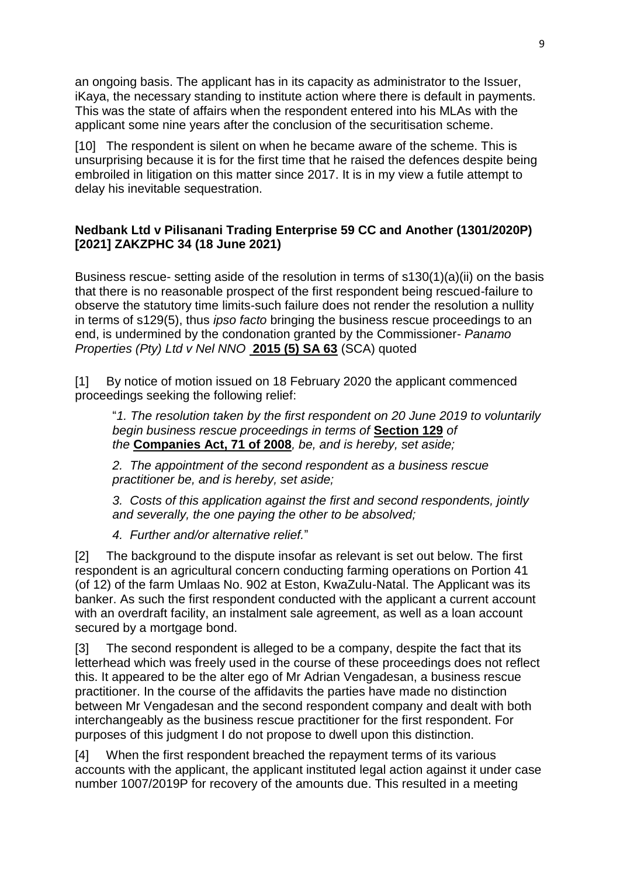an ongoing basis. The applicant has in its capacity as administrator to the Issuer, iKaya, the necessary standing to institute action where there is default in payments. This was the state of affairs when the respondent entered into his MLAs with the applicant some nine years after the conclusion of the securitisation scheme.

[10] The respondent is silent on when he became aware of the scheme. This is unsurprising because it is for the first time that he raised the defences despite being embroiled in litigation on this matter since 2017. It is in my view a futile attempt to delay his inevitable sequestration.

### **[Nedbank Ltd v Pilisanani Trading Enterprise 59 CC and Another \(1301/2020P\)](http://www.saflii.org/za/cases/ZAKZPHC/2021/34.html)  [\[2021\] ZAKZPHC 34 \(18 June 2021\)](http://www.saflii.org/za/cases/ZAKZPHC/2021/34.html)**

Business rescue- setting aside of the resolution in terms of s130(1)(a)(ii) on the basis that there is no reasonable prospect of the first respondent being rescued-failure to observe the statutory time limits-such failure does not render the resolution a nullity in terms of s129(5), thus *ipso facto* bringing the business rescue proceedings to an end, is undermined by the condonation granted by the Commissioner- *Panamo Properties (Pty) Ltd v Nel NNO* **[2015 \(5\) SA 63](https://jutastat.juta.co.za/nxt/foliolinks.asp?f=xhitlist&xhitlist_x=Advanced&xhitlist_vpc=first&xhitlist_xsl=querylink.xsl&xhitlist_sel=title;path;content-type;home-title&xhitlist_d=%7Bsalr%7D&xhitlist_q=%5Bfield%20folio-destination-name:%272015563%27%5D&xhitlist_md=target-id=0-0-0-24331)** (SCA) quoted

[1] By notice of motion issued on 18 February 2020 the applicant commenced proceedings seeking the following relief:

"*1. The resolution taken by the first respondent on 20 June 2019 to voluntarily begin business rescue proceedings in terms of* **[Section 129](http://www.saflii.org/za/legis/consol_act/ca2008107/index.html#s129)** *of the* **[Companies Act, 71 of 2008](http://www.saflii.org/za/legis/consol_act/ca2008107/)***, be, and is hereby, set aside;*

*2. The appointment of the second respondent as a business rescue practitioner be, and is hereby, set aside;*

*3. Costs of this application against the first and second respondents, jointly and severally, the one paying the other to be absolved;*

*4. Further and/or alternative relief.*"

[2] The background to the dispute insofar as relevant is set out below. The first respondent is an agricultural concern conducting farming operations on Portion 41 (of 12) of the farm Umlaas No. 902 at Eston, KwaZulu-Natal. The Applicant was its banker. As such the first respondent conducted with the applicant a current account with an overdraft facility, an instalment sale agreement, as well as a loan account secured by a mortgage bond.

[3] The second respondent is alleged to be a company, despite the fact that its letterhead which was freely used in the course of these proceedings does not reflect this. It appeared to be the alter ego of Mr Adrian Vengadesan, a business rescue practitioner. In the course of the affidavits the parties have made no distinction between Mr Vengadesan and the second respondent company and dealt with both interchangeably as the business rescue practitioner for the first respondent. For purposes of this judgment I do not propose to dwell upon this distinction.

[4] When the first respondent breached the repayment terms of its various accounts with the applicant, the applicant instituted legal action against it under case number 1007/2019P for recovery of the amounts due. This resulted in a meeting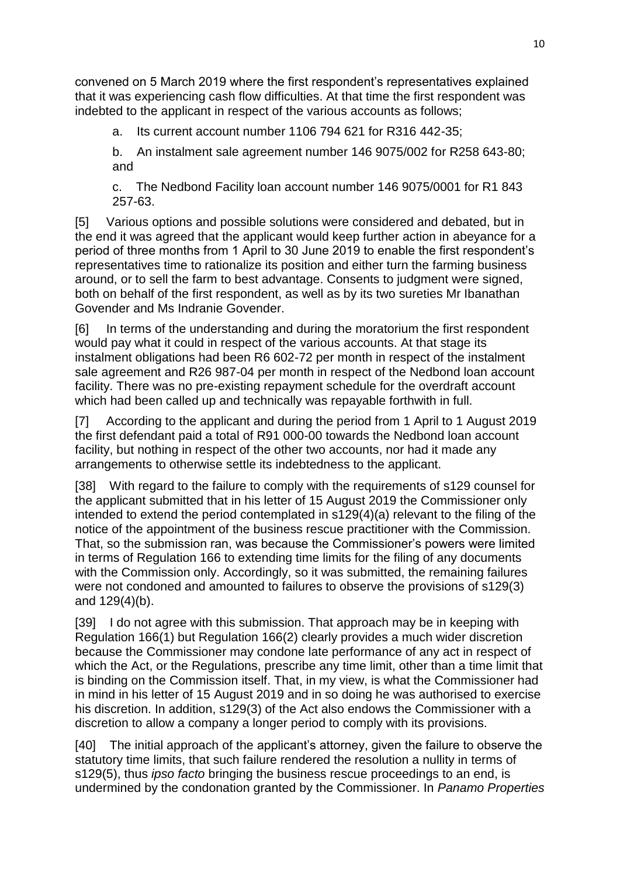convened on 5 March 2019 where the first respondent's representatives explained that it was experiencing cash flow difficulties. At that time the first respondent was indebted to the applicant in respect of the various accounts as follows;

a. Its current account number 1106 794 621 for R316 442-35;

b. An instalment sale agreement number 146 9075/002 for R258 643-80; and

c. The Nedbond Facility loan account number 146 9075/0001 for R1 843 257-63.

[5] Various options and possible solutions were considered and debated, but in the end it was agreed that the applicant would keep further action in abeyance for a period of three months from 1 April to 30 June 2019 to enable the first respondent's representatives time to rationalize its position and either turn the farming business around, or to sell the farm to best advantage. Consents to judgment were signed, both on behalf of the first respondent, as well as by its two sureties Mr Ibanathan Govender and Ms Indranie Govender.

[6] In terms of the understanding and during the moratorium the first respondent would pay what it could in respect of the various accounts. At that stage its instalment obligations had been R6 602-72 per month in respect of the instalment sale agreement and R26 987-04 per month in respect of the Nedbond loan account facility. There was no pre-existing repayment schedule for the overdraft account which had been called up and technically was repayable forthwith in full.

[7] According to the applicant and during the period from 1 April to 1 August 2019 the first defendant paid a total of R91 000-00 towards the Nedbond loan account facility, but nothing in respect of the other two accounts, nor had it made any arrangements to otherwise settle its indebtedness to the applicant.

[38] With regard to the failure to comply with the requirements of s129 counsel for the applicant submitted that in his letter of 15 August 2019 the Commissioner only intended to extend the period contemplated in s129(4)(a) relevant to the filing of the notice of the appointment of the business rescue practitioner with the Commission. That, so the submission ran, was because the Commissioner's powers were limited in terms of Regulation 166 to extending time limits for the filing of any documents with the Commission only. Accordingly, so it was submitted, the remaining failures were not condoned and amounted to failures to observe the provisions of s129(3) and 129(4)(b).

[39] I do not agree with this submission. That approach may be in keeping with Regulation 166(1) but Regulation 166(2) clearly provides a much wider discretion because the Commissioner may condone late performance of any act in respect of which the Act, or the Regulations, prescribe any time limit, other than a time limit that is binding on the Commission itself. That, in my view, is what the Commissioner had in mind in his letter of 15 August 2019 and in so doing he was authorised to exercise his discretion. In addition, s129(3) of the Act also endows the Commissioner with a discretion to allow a company a longer period to comply with its provisions.

[40] The initial approach of the applicant's attorney, given the failure to observe the statutory time limits, that such failure rendered the resolution a nullity in terms of s129(5), thus *ipso facto* bringing the business rescue proceedings to an end, is undermined by the condonation granted by the Commissioner. In *Panamo Properties*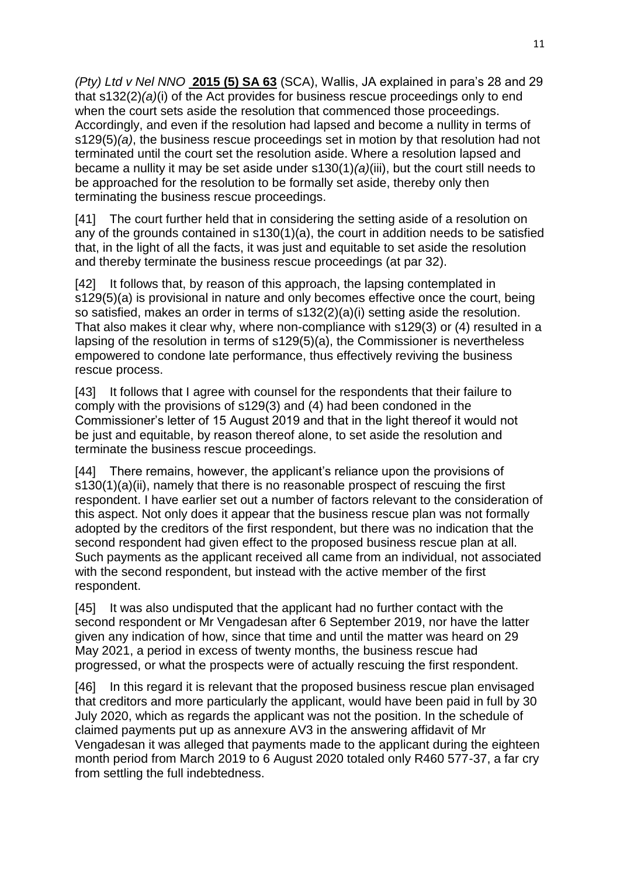*(Pty) Ltd v Nel NNO* **[2015 \(5\) SA 63](https://jutastat.juta.co.za/nxt/foliolinks.asp?f=xhitlist&xhitlist_x=Advanced&xhitlist_vpc=first&xhitlist_xsl=querylink.xsl&xhitlist_sel=title;path;content-type;home-title&xhitlist_d=%7Bsalr%7D&xhitlist_q=%5Bfield%20folio-destination-name:%272015563%27%5D&xhitlist_md=target-id=0-0-0-24331)** (SCA), Wallis, JA explained in para's 28 and 29 that s132(2)*(a)*(i) of the Act provides for business rescue proceedings only to end when the court sets aside the resolution that commenced those proceedings. Accordingly, and even if the resolution had lapsed and become a nullity in terms of s129(5)*(a)*, the business rescue proceedings set in motion by that resolution had not terminated until the court set the resolution aside. Where a resolution lapsed and became a nullity it may be set aside under s130(1)*(a)*(iii), but the court still needs to be approached for the resolution to be formally set aside, thereby only then terminating the business rescue proceedings.

[41] The court further held that in considering the setting aside of a resolution on any of the grounds contained in s130(1)(a), the court in addition needs to be satisfied that, in the light of all the facts, it was just and equitable to set aside the resolution and thereby terminate the business rescue proceedings (at par 32).

[42] It follows that, by reason of this approach, the lapsing contemplated in s129(5)(a) is provisional in nature and only becomes effective once the court, being so satisfied, makes an order in terms of s132(2)(a)(i) setting aside the resolution. That also makes it clear why, where non-compliance with s129(3) or (4) resulted in a lapsing of the resolution in terms of s129(5)(a), the Commissioner is nevertheless empowered to condone late performance, thus effectively reviving the business rescue process.

[43] It follows that I agree with counsel for the respondents that their failure to comply with the provisions of s129(3) and (4) had been condoned in the Commissioner's letter of 15 August 2019 and that in the light thereof it would not be just and equitable, by reason thereof alone, to set aside the resolution and terminate the business rescue proceedings.

[44] There remains, however, the applicant's reliance upon the provisions of s130(1)(a)(ii), namely that there is no reasonable prospect of rescuing the first respondent. I have earlier set out a number of factors relevant to the consideration of this aspect. Not only does it appear that the business rescue plan was not formally adopted by the creditors of the first respondent, but there was no indication that the second respondent had given effect to the proposed business rescue plan at all. Such payments as the applicant received all came from an individual, not associated with the second respondent, but instead with the active member of the first respondent.

[45] It was also undisputed that the applicant had no further contact with the second respondent or Mr Vengadesan after 6 September 2019, nor have the latter given any indication of how, since that time and until the matter was heard on 29 May 2021, a period in excess of twenty months, the business rescue had progressed, or what the prospects were of actually rescuing the first respondent.

[46] In this regard it is relevant that the proposed business rescue plan envisaged that creditors and more particularly the applicant, would have been paid in full by 30 July 2020, which as regards the applicant was not the position. In the schedule of claimed payments put up as annexure AV3 in the answering affidavit of Mr Vengadesan it was alleged that payments made to the applicant during the eighteen month period from March 2019 to 6 August 2020 totaled only R460 577-37, a far cry from settling the full indebtedness.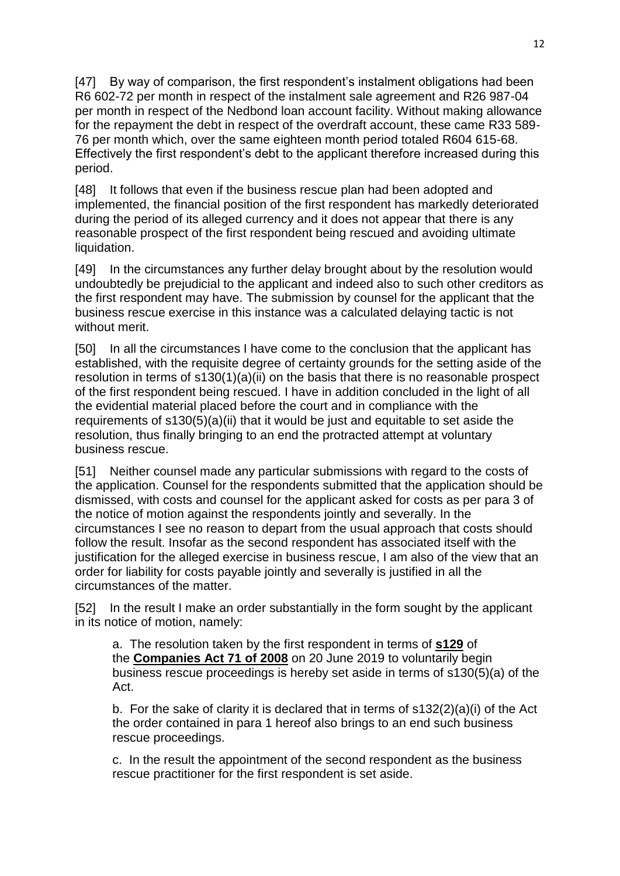[47] By way of comparison, the first respondent's instalment obligations had been R6 602-72 per month in respect of the instalment sale agreement and R26 987-04 per month in respect of the Nedbond loan account facility. Without making allowance for the repayment the debt in respect of the overdraft account, these came R33 589- 76 per month which, over the same eighteen month period totaled R604 615-68. Effectively the first respondent's debt to the applicant therefore increased during this period.

[48] It follows that even if the business rescue plan had been adopted and implemented, the financial position of the first respondent has markedly deteriorated during the period of its alleged currency and it does not appear that there is any reasonable prospect of the first respondent being rescued and avoiding ultimate liquidation.

[49] In the circumstances any further delay brought about by the resolution would undoubtedly be prejudicial to the applicant and indeed also to such other creditors as the first respondent may have. The submission by counsel for the applicant that the business rescue exercise in this instance was a calculated delaying tactic is not without merit.

[50] In all the circumstances I have come to the conclusion that the applicant has established, with the requisite degree of certainty grounds for the setting aside of the resolution in terms of s130(1)(a)(ii) on the basis that there is no reasonable prospect of the first respondent being rescued. I have in addition concluded in the light of all the evidential material placed before the court and in compliance with the requirements of  $s130(5)(a)(ii)$  that it would be just and equitable to set aside the resolution, thus finally bringing to an end the protracted attempt at voluntary business rescue.

[51] Neither counsel made any particular submissions with regard to the costs of the application. Counsel for the respondents submitted that the application should be dismissed, with costs and counsel for the applicant asked for costs as per para 3 of the notice of motion against the respondents jointly and severally. In the circumstances I see no reason to depart from the usual approach that costs should follow the result. Insofar as the second respondent has associated itself with the justification for the alleged exercise in business rescue, I am also of the view that an order for liability for costs payable jointly and severally is justified in all the circumstances of the matter.

[52] In the result I make an order substantially in the form sought by the applicant in its notice of motion, namely:

a. The resolution taken by the first respondent in terms of **[s129](http://www.saflii.org/za/legis/consol_act/ca2008107/index.html#s129)** of the **[Companies Act 71 of 2008](http://www.saflii.org/za/legis/consol_act/ca2008107/)** on 20 June 2019 to voluntarily begin business rescue proceedings is hereby set aside in terms of s130(5)(a) of the Act.

b. For the sake of clarity it is declared that in terms of  $s132(2)(a)(i)$  of the Act the order contained in para 1 hereof also brings to an end such business rescue proceedings.

c. In the result the appointment of the second respondent as the business rescue practitioner for the first respondent is set aside.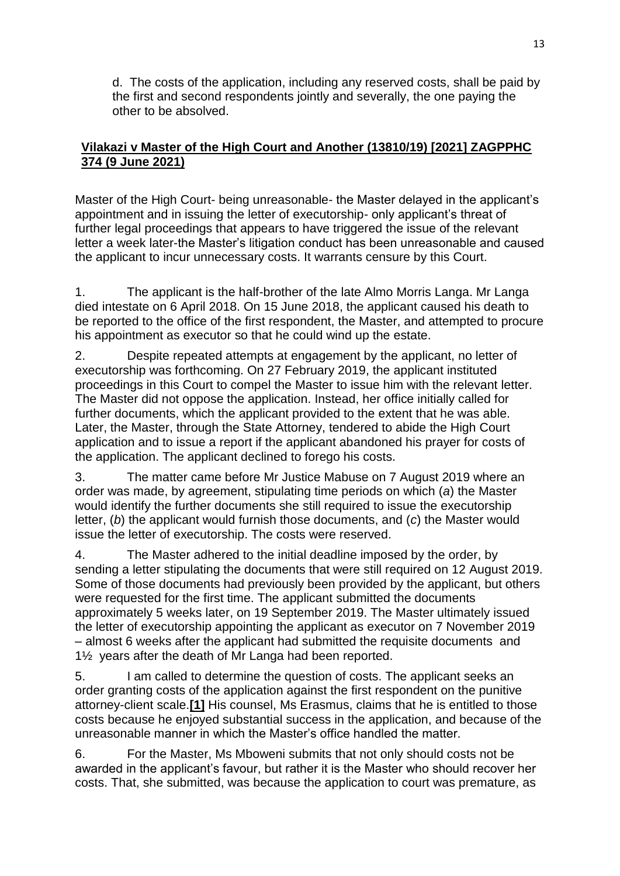d. The costs of the application, including any reserved costs, shall be paid by the first and second respondents jointly and severally, the one paying the other to be absolved.

## **[Vilakazi v Master of the High Court and Another \(13810/19\) \[2021\] ZAGPPHC](http://www.saflii.org/za/cases/ZAGPPHC/2021/374.html)  [374 \(9 June 2021\)](http://www.saflii.org/za/cases/ZAGPPHC/2021/374.html)**

Master of the High Court- being unreasonable- the Master delayed in the applicant's appointment and in issuing the letter of executorship- only applicant's threat of further legal proceedings that appears to have triggered the issue of the relevant letter a week later-the Master's litigation conduct has been unreasonable and caused the applicant to incur unnecessary costs. It warrants censure by this Court.

1. The applicant is the half-brother of the late Almo Morris Langa. Mr Langa died intestate on 6 April 2018. On 15 June 2018, the applicant caused his death to be reported to the office of the first respondent, the Master, and attempted to procure his appointment as executor so that he could wind up the estate.

2. Despite repeated attempts at engagement by the applicant, no letter of executorship was forthcoming. On 27 February 2019, the applicant instituted proceedings in this Court to compel the Master to issue him with the relevant letter. The Master did not oppose the application. Instead, her office initially called for further documents, which the applicant provided to the extent that he was able. Later, the Master, through the State Attorney, tendered to abide the High Court application and to issue a report if the applicant abandoned his prayer for costs of the application. The applicant declined to forego his costs.

3. The matter came before Mr Justice Mabuse on 7 August 2019 where an order was made, by agreement, stipulating time periods on which (*a*) the Master would identify the further documents she still required to issue the executorship letter, (*b*) the applicant would furnish those documents, and (*c*) the Master would issue the letter of executorship. The costs were reserved.

4. The Master adhered to the initial deadline imposed by the order, by sending a letter stipulating the documents that were still required on 12 August 2019. Some of those documents had previously been provided by the applicant, but others were requested for the first time. The applicant submitted the documents approximately 5 weeks later, on 19 September 2019. The Master ultimately issued the letter of executorship appointing the applicant as executor on 7 November 2019 – almost 6 weeks after the applicant had submitted the requisite documents and 1½ years after the death of Mr Langa had been reported.

5. I am called to determine the question of costs. The applicant seeks an order granting costs of the application against the first respondent on the punitive attorney-client scale.**[\[1\]](http://www.saflii.org/za/cases/ZAGPPHC/2021/374.html#_ftn1)** His counsel, Ms Erasmus, claims that he is entitled to those costs because he enjoyed substantial success in the application, and because of the unreasonable manner in which the Master's office handled the matter.

6. For the Master, Ms Mboweni submits that not only should costs not be awarded in the applicant's favour, but rather it is the Master who should recover her costs. That, she submitted, was because the application to court was premature, as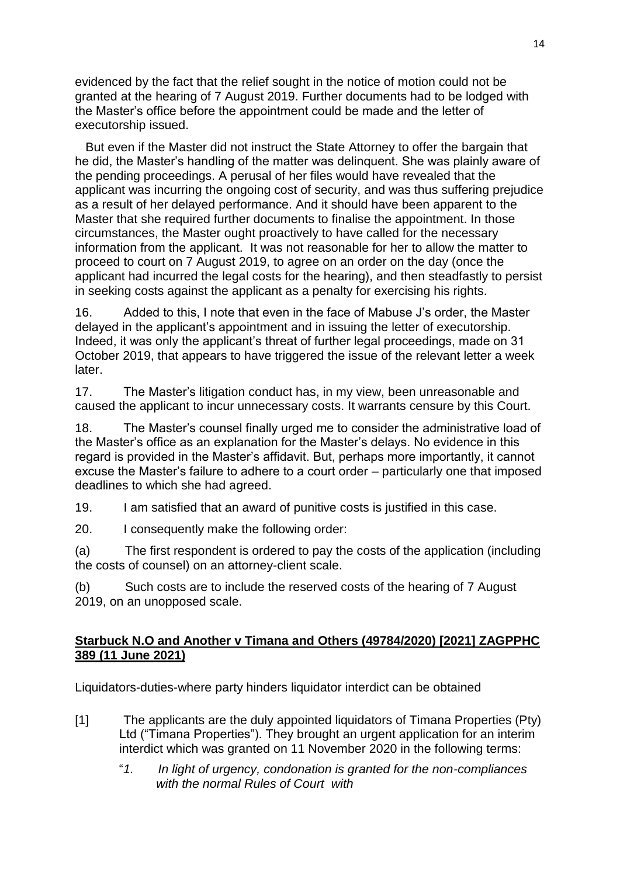evidenced by the fact that the relief sought in the notice of motion could not be granted at the hearing of 7 August 2019. Further documents had to be lodged with the Master's office before the appointment could be made and the letter of executorship issued.

 But even if the Master did not instruct the State Attorney to offer the bargain that he did, the Master's handling of the matter was delinquent. She was plainly aware of the pending proceedings. A perusal of her files would have revealed that the applicant was incurring the ongoing cost of security, and was thus suffering prejudice as a result of her delayed performance. And it should have been apparent to the Master that she required further documents to finalise the appointment. In those circumstances, the Master ought proactively to have called for the necessary information from the applicant. It was not reasonable for her to allow the matter to proceed to court on 7 August 2019, to agree on an order on the day (once the applicant had incurred the legal costs for the hearing), and then steadfastly to persist in seeking costs against the applicant as a penalty for exercising his rights.

16. Added to this, I note that even in the face of Mabuse J's order, the Master delayed in the applicant's appointment and in issuing the letter of executorship. Indeed, it was only the applicant's threat of further legal proceedings, made on 31 October 2019, that appears to have triggered the issue of the relevant letter a week later.

17. The Master's litigation conduct has, in my view, been unreasonable and caused the applicant to incur unnecessary costs. It warrants censure by this Court.

18. The Master's counsel finally urged me to consider the administrative load of the Master's office as an explanation for the Master's delays. No evidence in this regard is provided in the Master's affidavit. But, perhaps more importantly, it cannot excuse the Master's failure to adhere to a court order – particularly one that imposed deadlines to which she had agreed.

19. I am satisfied that an award of punitive costs is justified in this case.

20. I consequently make the following order:

(a) The first respondent is ordered to pay the costs of the application (including the costs of counsel) on an attorney-client scale.

(b) Such costs are to include the reserved costs of the hearing of 7 August 2019, on an unopposed scale.

### **[Starbuck N.O and Another v Timana and Others \(49784/2020\) \[2021\] ZAGPPHC](http://www.saflii.org/za/cases/ZAGPPHC/2021/389.html)  [389 \(11 June 2021\)](http://www.saflii.org/za/cases/ZAGPPHC/2021/389.html)**

Liquidators-duties-where party hinders liquidator interdict can be obtained

- [1] The applicants are the duly appointed liquidators of Timana Properties (Pty) Ltd ("Timana Properties"). They brought an urgent application for an interim interdict which was granted on 11 November 2020 in the following terms:
	- "*1. In light of urgency, condonation is granted for the non-compliances with the normal Rules of Court with*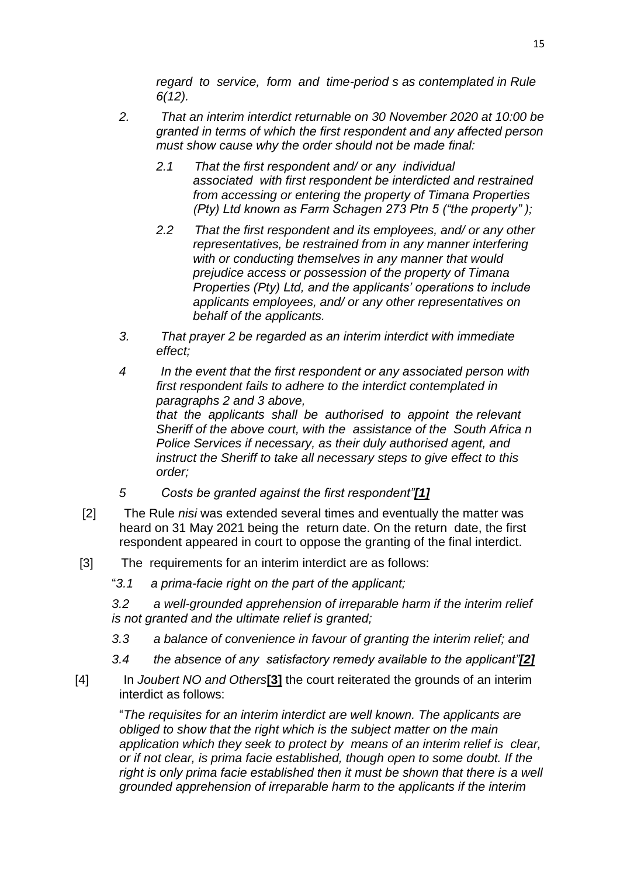*regard to service, form and time-period s as contemplated in Rule 6(12).*

- *2. That an interim interdict returnable on 30 November 2020 at 10:00 be granted in terms of which the first respondent and any affected person must show cause why the order should not be made final:*
	- *2.1 That the first respondent and/ or any individual associated with first respondent be interdicted and restrained from accessing or entering the property of Timana Properties (Pty) Ltd known as Farm Schagen 273 Ptn 5 ("the property" );*
	- *2.2 That the first respondent and its employees, and/ or any other representatives, be restrained from in any manner interfering with or conducting themselves in any manner that would prejudice access or possession of the property of Timana Properties (Pty) Ltd, and the applicants' operations to include applicants employees, and/ or any other representatives on behalf of the applicants.*
- *3. That prayer 2 be regarded as an interim interdict with immediate effect;*
- *4 In the event that the first respondent or any associated person with first respondent fails to adhere to the interdict contemplated in paragraphs 2 and 3 above, that the applicants shall be authorised to appoint the relevant Sheriff of the above court, with the assistance of the South Africa n Police Services if necessary, as their duly authorised agent, and instruct the Sheriff to take all necessary steps to give effect to this order;*
- *5 Costs be granted against the first respondent"[\[1\]](http://www.saflii.org/za/cases/ZAGPPHC/2021/389.html#_ftn1)*
- [2] The Rule *nisi* was extended several times and eventually the matter was heard on 31 May 2021 being the return date. On the return date, the first respondent appeared in court to oppose the granting of the final interdict.
- [3] The requirements for an interim interdict are as follows:
	- "*3.1 a prima-facie right on the part of the applicant;*

*3.2 a well-grounded apprehension of irreparable harm if the interim relief is not granted and the ultimate relief is granted;*

- *3.3 a balance of convenience in favour of granting the interim relief; and*
- *3.4 the absence of any satisfactory remedy available to the applicant"[\[2\]](http://www.saflii.org/za/cases/ZAGPPHC/2021/389.html#_ftn2)*
- [4] In *Joubert NO and Others***[\[3\]](http://www.saflii.org/za/cases/ZAGPPHC/2021/389.html#_ftn3)** the court reiterated the grounds of an interim interdict as follows:

"*The requisites for an interim interdict are well known. The applicants are obliged to show that the right which is the subject matter on the main application which they seek to protect by means of an interim relief is clear, or if not clear, is prima facie established, though open to some doubt. If the*  right is only prima facie established then it must be shown that there is a well *grounded apprehension of irreparable harm to the applicants if the interim*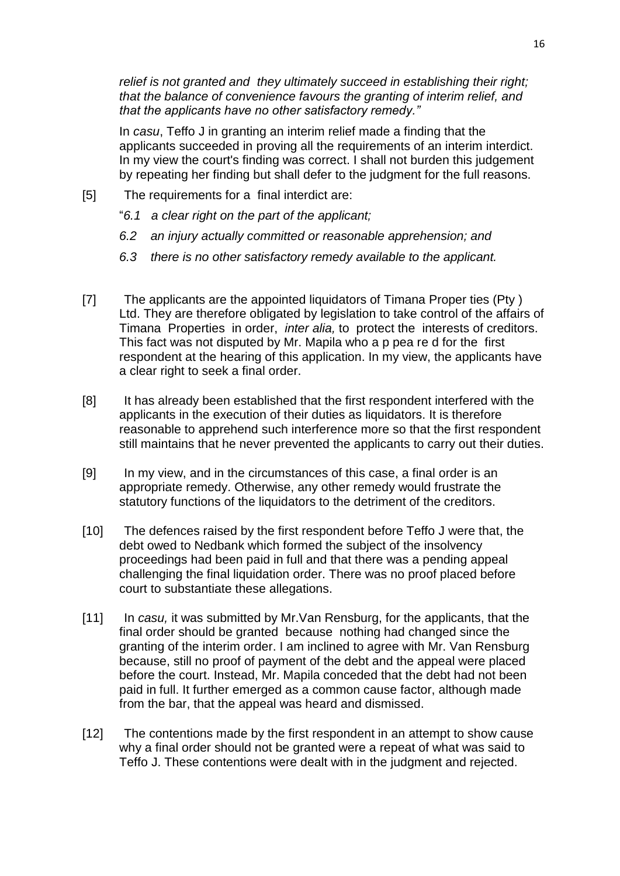*relief is not granted and they ultimately succeed in establishing their right; that the balance of convenience favours the granting of interim relief, and that the applicants have no other satisfactory remedy."*

In *casu*, Teffo J in granting an interim relief made a finding that the applicants succeeded in proving all the requirements of an interim interdict. In my view the court's finding was correct. I shall not burden this judgement by repeating her finding but shall defer to the judgment for the full reasons.

- [5] The requirements for a final interdict are:
	- "*6.1 a clear right on the part of the applicant;*
	- *6.2 an injury actually committed or reasonable apprehension; and*
	- *6.3 there is no other satisfactory remedy available to the applicant.*
- [7] The applicants are the appointed liquidators of Timana Proper ties (Pty ) Ltd. They are therefore obligated by legislation to take control of the affairs of Timana Properties in order, *inter alia,* to protect the interests of creditors. This fact was not disputed by Mr. Mapila who a p pea re d for the first respondent at the hearing of this application. In my view, the applicants have a clear right to seek a final order.
- [8] It has already been established that the first respondent interfered with the applicants in the execution of their duties as liquidators. It is therefore reasonable to apprehend such interference more so that the first respondent still maintains that he never prevented the applicants to carry out their duties.
- [9] In my view, and in the circumstances of this case, a final order is an appropriate remedy. Otherwise, any other remedy would frustrate the statutory functions of the liquidators to the detriment of the creditors.
- [10] The defences raised by the first respondent before Teffo J were that, the debt owed to Nedbank which formed the subject of the insolvency proceedings had been paid in full and that there was a pending appeal challenging the final liquidation order. There was no proof placed before court to substantiate these allegations.
- [11] In *casu,* it was submitted by Mr.Van Rensburg, for the applicants, that the final order should be granted because nothing had changed since the granting of the interim order. I am inclined to agree with Mr. Van Rensburg because, still no proof of payment of the debt and the appeal were placed before the court. Instead, Mr. Mapila conceded that the debt had not been paid in full. It further emerged as a common cause factor, although made from the bar, that the appeal was heard and dismissed.
- [12] The contentions made by the first respondent in an attempt to show cause why a final order should not be granted were a repeat of what was said to Teffo J. These contentions were dealt with in the judgment and rejected.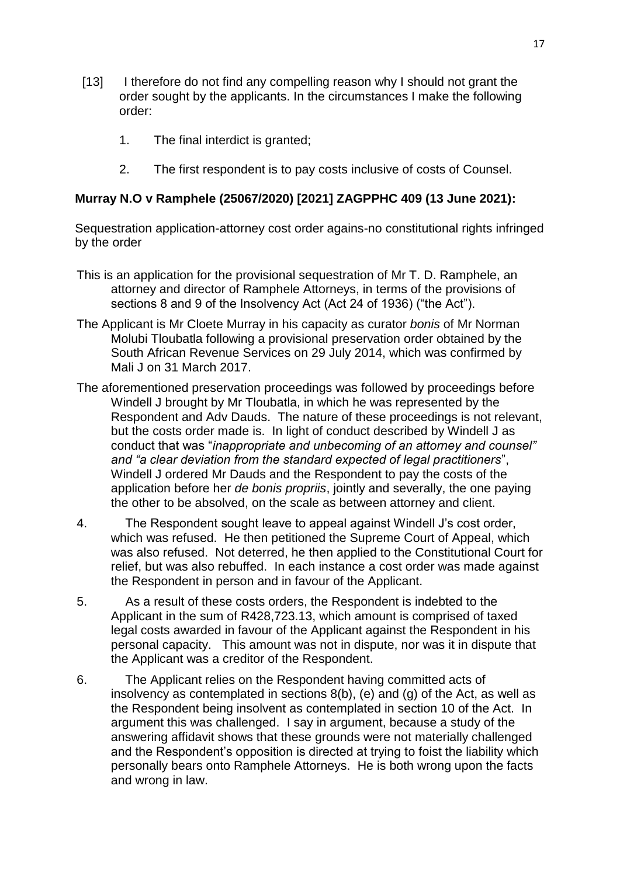- [13] I therefore do not find any compelling reason why I should not grant the order sought by the applicants. In the circumstances I make the following order:
	- 1. The final interdict is granted;
	- 2. The first respondent is to pay costs inclusive of costs of Counsel.

### **[Murray N.O v Ramphele \(25067/2020\) \[2021\] ZAGPPHC 409 \(13 June 2021\):](http://www.saflii.org/za/cases/ZAGPPHC/2021/409.html)**

Sequestration application-attorney cost order agains-no constitutional rights infringed by the order

- This is an application for the provisional sequestration of Mr T. D. Ramphele, an attorney and director of Ramphele Attorneys, in terms of the provisions of sections 8 and 9 of the Insolvency Act (Act 24 of 1936) ("the Act").
- The Applicant is Mr Cloete Murray in his capacity as curator *bonis* of Mr Norman Molubi Tloubatla following a provisional preservation order obtained by the South African Revenue Services on 29 July 2014, which was confirmed by Mali J on 31 March 2017.
- The aforementioned preservation proceedings was followed by proceedings before Windell J brought by Mr Tloubatla, in which he was represented by the Respondent and Adv Dauds. The nature of these proceedings is not relevant, but the costs order made is. In light of conduct described by Windell J as conduct that was "*inappropriate and unbecoming of an attorney and counsel" and "a clear deviation from the standard expected of legal practitioners*", Windell J ordered Mr Dauds and the Respondent to pay the costs of the application before her *de bonis propriis*, jointly and severally, the one paying the other to be absolved, on the scale as between attorney and client.
- 4. The Respondent sought leave to appeal against Windell J's cost order, which was refused. He then petitioned the Supreme Court of Appeal, which was also refused. Not deterred, he then applied to the Constitutional Court for relief, but was also rebuffed. In each instance a cost order was made against the Respondent in person and in favour of the Applicant.
- 5. As a result of these costs orders, the Respondent is indebted to the Applicant in the sum of R428,723.13, which amount is comprised of taxed legal costs awarded in favour of the Applicant against the Respondent in his personal capacity. This amount was not in dispute, nor was it in dispute that the Applicant was a creditor of the Respondent.
- 6. The Applicant relies on the Respondent having committed acts of insolvency as contemplated in sections 8(b), (e) and (g) of the Act, as well as the Respondent being insolvent as contemplated in section 10 of the Act. In argument this was challenged. I say in argument, because a study of the answering affidavit shows that these grounds were not materially challenged and the Respondent's opposition is directed at trying to foist the liability which personally bears onto Ramphele Attorneys. He is both wrong upon the facts and wrong in law.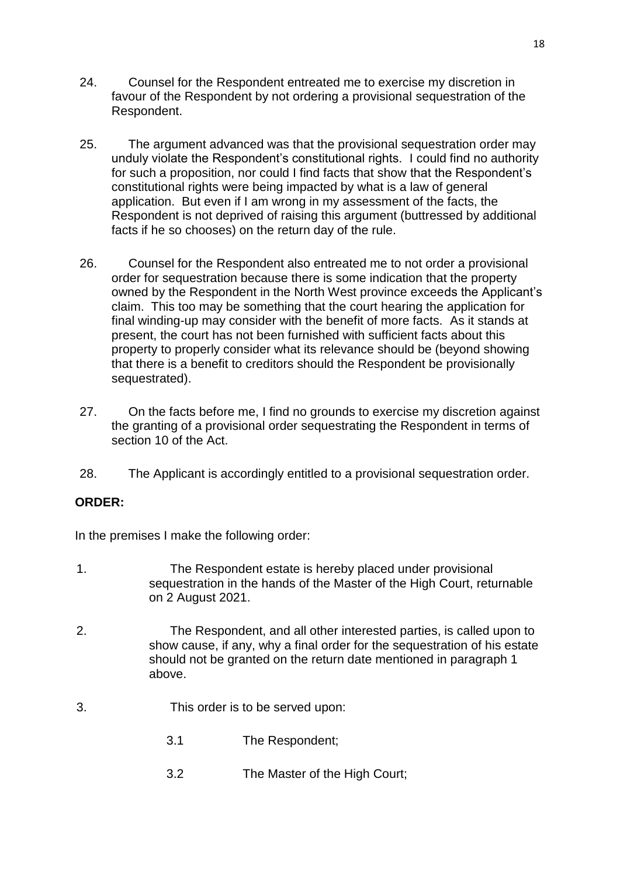- 24. Counsel for the Respondent entreated me to exercise my discretion in favour of the Respondent by not ordering a provisional sequestration of the Respondent.
- 25. The argument advanced was that the provisional sequestration order may unduly violate the Respondent's constitutional rights. I could find no authority for such a proposition, nor could I find facts that show that the Respondent's constitutional rights were being impacted by what is a law of general application. But even if I am wrong in my assessment of the facts, the Respondent is not deprived of raising this argument (buttressed by additional facts if he so chooses) on the return day of the rule.
- 26. Counsel for the Respondent also entreated me to not order a provisional order for sequestration because there is some indication that the property owned by the Respondent in the North West province exceeds the Applicant's claim. This too may be something that the court hearing the application for final winding-up may consider with the benefit of more facts. As it stands at present, the court has not been furnished with sufficient facts about this property to properly consider what its relevance should be (beyond showing that there is a benefit to creditors should the Respondent be provisionally sequestrated).
- 27. On the facts before me, I find no grounds to exercise my discretion against the granting of a provisional order sequestrating the Respondent in terms of section 10 of the Act.
- 28. The Applicant is accordingly entitled to a provisional sequestration order.

## **ORDER:**

In the premises I make the following order:

- 1. The Respondent estate is hereby placed under provisional sequestration in the hands of the Master of the High Court, returnable on 2 August 2021.
- 2. The Respondent, and all other interested parties, is called upon to show cause, if any, why a final order for the sequestration of his estate should not be granted on the return date mentioned in paragraph 1 above.
- 3. This order is to be served upon:
	- 3.1 The Respondent;
	- 3.2 The Master of the High Court;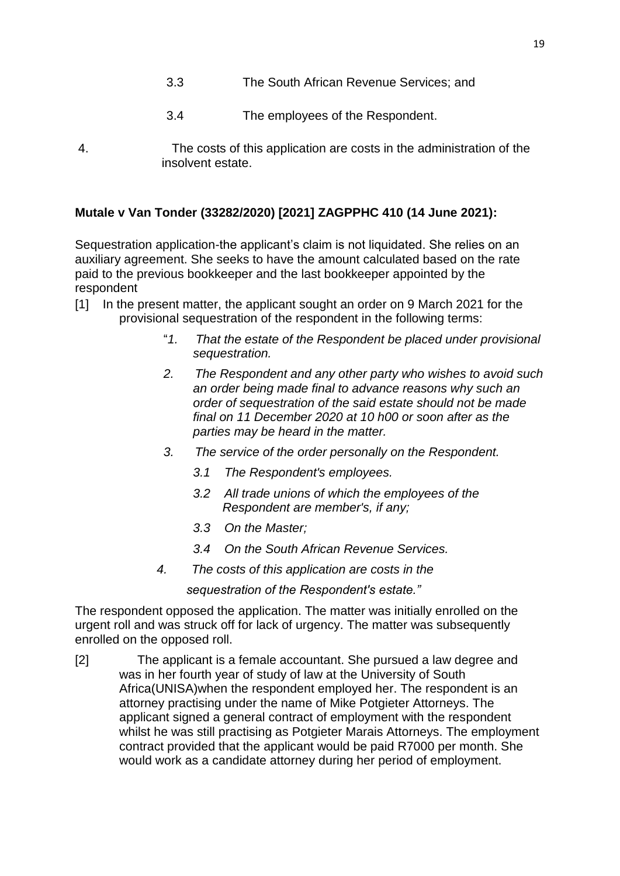- 3.3 The South African Revenue Services; and
- 3.4 The employees of the Respondent.
- 4. The costs of this application are costs in the administration of the insolvent estate.

## **[Mutale v Van Tonder \(33282/2020\) \[2021\] ZAGPPHC 410 \(14 June 2021\):](http://www.saflii.org/za/cases/ZAGPPHC/2021/410.html)**

Sequestration application-the applicant's claim is not liquidated. She relies on an auxiliary agreement. She seeks to have the amount calculated based on the rate paid to the previous bookkeeper and the last bookkeeper appointed by the respondent

- [1] In the present matter, the applicant sought an order on 9 March 2021 for the provisional sequestration of the respondent in the following terms:
	- "*1. That the estate of the Respondent be placed under provisional sequestration.*
	- *2. The Respondent and any other party who wishes to avoid such an order being made final to advance reasons why such an order of sequestration of the said estate should not be made final on 11 December 2020 at 10 h00 or soon after as the parties may be heard in the matter.*
	- *3. The service of the order personally on the Respondent.*
		- *3.1 The Respondent's employees.*
		- *3.2 All trade unions of which the employees of the Respondent are member's, if any;*
		- *3.3 On the Master;*
		- *3.4 On the South African Revenue Services.*
	- *4. The costs of this application are costs in the*

*sequestration of the Respondent's estate."*

The respondent opposed the application. The matter was initially enrolled on the urgent roll and was struck off for lack of urgency. The matter was subsequently enrolled on the opposed roll.

[2] The applicant is a female accountant. She pursued a law degree and was in her fourth year of study of law at the University of South Africa(UNISA)when the respondent employed her. The respondent is an attorney practising under the name of Mike Potgieter Attorneys. The applicant signed a general contract of employment with the respondent whilst he was still practising as Potgieter Marais Attorneys. The employment contract provided that the applicant would be paid R7000 per month. She would work as a candidate attorney during her period of employment.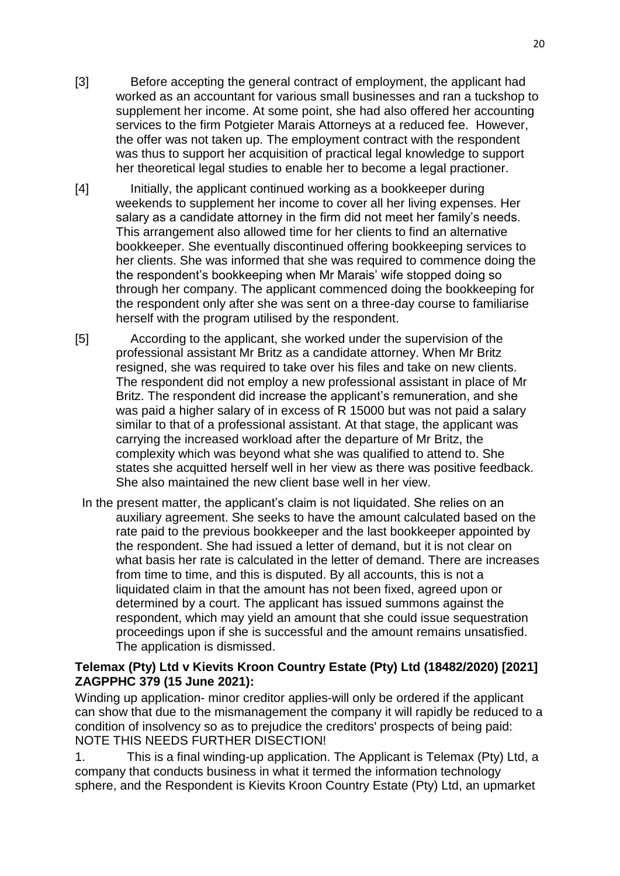- [3] Before accepting the general contract of employment, the applicant had worked as an accountant for various small businesses and ran a tuckshop to supplement her income. At some point, she had also offered her accounting services to the firm Potgieter Marais Attorneys at a reduced fee. However, the offer was not taken up. The employment contract with the respondent was thus to support her acquisition of practical legal knowledge to support her theoretical legal studies to enable her to become a legal practioner.
- [4] Initially, the applicant continued working as a bookkeeper during weekends to supplement her income to cover all her living expenses. Her salary as a candidate attorney in the firm did not meet her family's needs. This arrangement also allowed time for her clients to find an alternative bookkeeper. She eventually discontinued offering bookkeeping services to her clients. She was informed that she was required to commence doing the the respondent's bookkeeping when Mr Marais' wife stopped doing so through her company. The applicant commenced doing the bookkeeping for the respondent only after she was sent on a three-day course to familiarise herself with the program utilised by the respondent.
- [5] According to the applicant, she worked under the supervision of the professional assistant Mr Britz as a candidate attorney. When Mr Britz resigned, she was required to take over his files and take on new clients. The respondent did not employ a new professional assistant in place of Mr Britz. The respondent did increase the applicant's remuneration, and she was paid a higher salary of in excess of R 15000 but was not paid a salary similar to that of a professional assistant. At that stage, the applicant was carrying the increased workload after the departure of Mr Britz, the complexity which was beyond what she was qualified to attend to. She states she acquitted herself well in her view as there was positive feedback. She also maintained the new client base well in her view.
- In the present matter, the applicant's claim is not liquidated. She relies on an auxiliary agreement. She seeks to have the amount calculated based on the rate paid to the previous bookkeeper and the last bookkeeper appointed by the respondent. She had issued a letter of demand, but it is not clear on what basis her rate is calculated in the letter of demand. There are increases from time to time, and this is disputed. By all accounts, this is not a liquidated claim in that the amount has not been fixed, agreed upon or determined by a court. The applicant has issued summons against the respondent, which may yield an amount that she could issue sequestration proceedings upon if she is successful and the amount remains unsatisfied. The application is dismissed.

### **[Telemax \(Pty\) Ltd v Kievits Kroon Country Estate \(Pty\) Ltd \(18482/2020\) \[2021\]](http://www.saflii.org/za/cases/ZAGPPHC/2021/379.html)  [ZAGPPHC 379 \(15 June 2021\):](http://www.saflii.org/za/cases/ZAGPPHC/2021/379.html)**

Winding up application- minor creditor applies-will only be ordered if the applicant can show that due to the mismanagement the company it will rapidly be reduced to a condition of insolvency so as to prejudice the creditors' prospects of being paid: NOTE THIS NEEDS FURTHER DISECTION!

1. This is a final winding-up application. The Applicant is Telemax (Pty) Ltd, a company that conducts business in what it termed the information technology sphere, and the Respondent is Kievits Kroon Country Estate (Pty) Ltd, an upmarket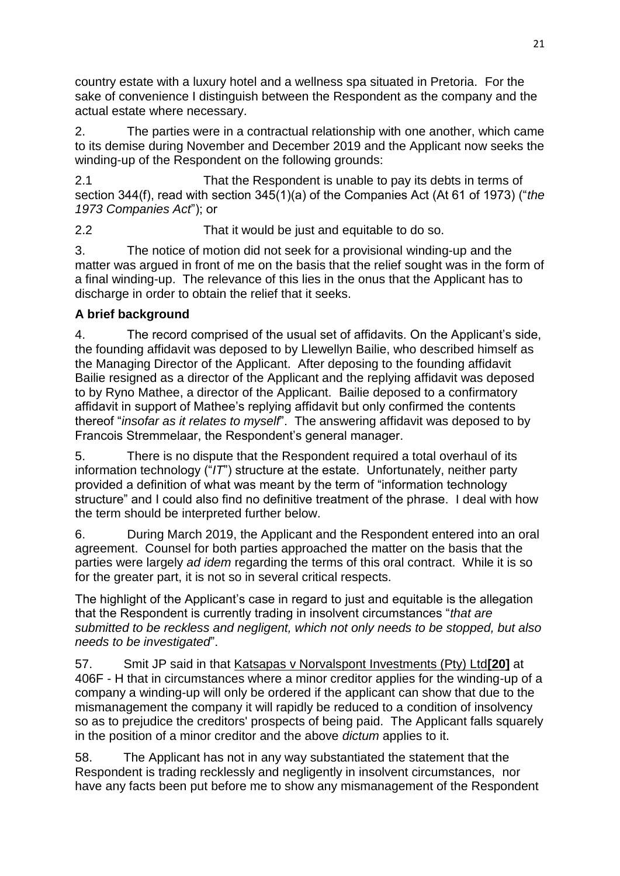country estate with a luxury hotel and a wellness spa situated in Pretoria. For the sake of convenience I distinguish between the Respondent as the company and the actual estate where necessary.

2. The parties were in a contractual relationship with one another, which came to its demise during November and December 2019 and the Applicant now seeks the winding-up of the Respondent on the following grounds:

2.1 That the Respondent is unable to pay its debts in terms of section 344(f), read with section 345(1)(a) of the Companies Act (At 61 of 1973) ("*the 1973 Companies Act*"); or

2.2 That it would be just and equitable to do so.

3. The notice of motion did not seek for a provisional winding-up and the matter was argued in front of me on the basis that the relief sought was in the form of a final winding-up. The relevance of this lies in the onus that the Applicant has to discharge in order to obtain the relief that it seeks.

# **A brief background**

4. The record comprised of the usual set of affidavits. On the Applicant's side, the founding affidavit was deposed to by Llewellyn Bailie, who described himself as the Managing Director of the Applicant. After deposing to the founding affidavit Bailie resigned as a director of the Applicant and the replying affidavit was deposed to by Ryno Mathee, a director of the Applicant. Bailie deposed to a confirmatory affidavit in support of Mathee's replying affidavit but only confirmed the contents thereof "*insofar as it relates to myself*". The answering affidavit was deposed to by Francois Stremmelaar, the Respondent's general manager.

5. There is no dispute that the Respondent required a total overhaul of its information technology ("*IT*") structure at the estate. Unfortunately, neither party provided a definition of what was meant by the term of "information technology structure" and I could also find no definitive treatment of the phrase. I deal with how the term should be interpreted further below.

6. During March 2019, the Applicant and the Respondent entered into an oral agreement. Counsel for both parties approached the matter on the basis that the parties were largely *ad idem* regarding the terms of this oral contract. While it is so for the greater part, it is not so in several critical respects.

The highlight of the Applicant's case in regard to just and equitable is the allegation that the Respondent is currently trading in insolvent circumstances "*that are submitted to be reckless and negligent, which not only needs to be stopped, but also needs to be investigated*".

57. Smit JP said in that Katsapas v Norvalspont Investments (Pty) Ltd**[\[20\]](http://www.saflii.org/za/cases/ZAGPPHC/2021/379.html#_ftn20)** at 406F - H that in circumstances where a minor creditor applies for the winding-up of a company a winding-up will only be ordered if the applicant can show that due to the mismanagement the company it will rapidly be reduced to a condition of insolvency so as to prejudice the creditors' prospects of being paid. The Applicant falls squarely in the position of a minor creditor and the above *dictum* applies to it.

58. The Applicant has not in any way substantiated the statement that the Respondent is trading recklessly and negligently in insolvent circumstances, nor have any facts been put before me to show any mismanagement of the Respondent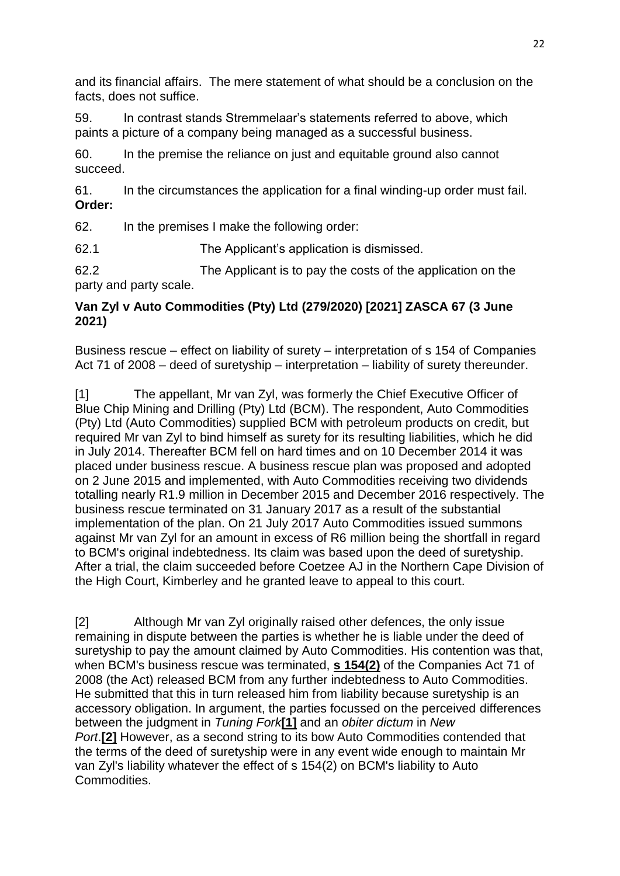and its financial affairs. The mere statement of what should be a conclusion on the facts, does not suffice.

59. In contrast stands Stremmelaar's statements referred to above, which paints a picture of a company being managed as a successful business.

60. In the premise the reliance on just and equitable ground also cannot succeed.

61. In the circumstances the application for a final winding-up order must fail. **Order:**

62. In the premises I make the following order:

62.1 The Applicant's application is dismissed.

62.2 The Applicant is to pay the costs of the application on the party and party scale.

## **[Van Zyl v Auto Commodities \(Pty\) Ltd \(279/2020\) \[2021\] ZASCA 67 \(3 June](http://www.saflii.org/za/cases/ZASCA/2021/67.html)  [2021\)](http://www.saflii.org/za/cases/ZASCA/2021/67.html)**

Business rescue – effect on liability of surety – interpretation of s 154 of [Companies](http://www.saflii.org/za/legis/consol_act/ca2008107/)  [Act 71 of 2008](http://www.saflii.org/za/legis/consol_act/ca2008107/) – deed of suretyship – interpretation – liability of surety thereunder.

[1] The appellant, Mr van Zyl, was formerly the Chief Executive Officer of Blue Chip Mining and Drilling (Pty) Ltd (BCM). The respondent, Auto Commodities (Pty) Ltd (Auto Commodities) supplied BCM with petroleum products on credit, but required Mr van Zyl to bind himself as surety for its resulting liabilities, which he did in July 2014. Thereafter BCM fell on hard times and on 10 December 2014 it was placed under business rescue. A business rescue plan was proposed and adopted on 2 June 2015 and implemented, with Auto Commodities receiving two dividends totalling nearly R1.9 million in December 2015 and December 2016 respectively. The business rescue terminated on 31 January 2017 as a result of the substantial implementation of the plan. On 21 July 2017 Auto Commodities issued summons against Mr van Zyl for an amount in excess of R6 million being the shortfall in regard to BCM's original indebtedness. Its claim was based upon the deed of suretyship. After a trial, the claim succeeded before Coetzee AJ in the Northern Cape Division of the High Court, Kimberley and he granted leave to appeal to this court.

[2] Although Mr van Zyl originally raised other defences, the only issue remaining in dispute between the parties is whether he is liable under the deed of suretyship to pay the amount claimed by Auto Commodities. His contention was that, when BCM's business rescue was terminated, **s [154\(2\)](http://www.saflii.org/za/legis/consol_act/ca2008107/index.html#s154)** of the Companies Act 71 of 2008 (the Act) released BCM from any further indebtedness to Auto Commodities. He submitted that this in turn released him from liability because suretyship is an accessory obligation. In argument, the parties focussed on the perceived differences between the judgment in *Tuning Fork***[\[1\]](http://www.saflii.org/za/cases/ZASCA/2021/67.html#_ftn1)** and an *obiter dictum* in *New Port*.**[\[2\]](http://www.saflii.org/za/cases/ZASCA/2021/67.html#_ftn2)** However, as a second string to its bow Auto Commodities contended that the terms of the deed of suretyship were in any event wide enough to maintain Mr van Zyl's liability whatever the effect of s 154(2) on BCM's liability to Auto Commodities.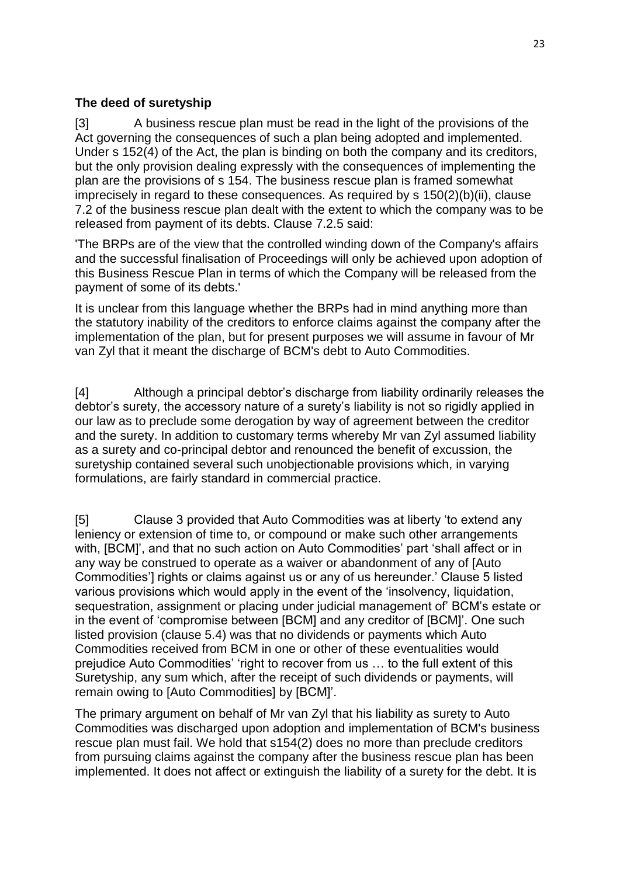### **The deed of suretyship**

[3] A business rescue plan must be read in the light of the provisions of the Act governing the consequences of such a plan being adopted and implemented. Under s 152(4) of the Act, the plan is binding on both the company and its creditors, but the only provision dealing expressly with the consequences of implementing the plan are the provisions of s 154. The business rescue plan is framed somewhat imprecisely in regard to these consequences. As required by s 150(2)(b)(ii), clause 7.2 of the business rescue plan dealt with the extent to which the company was to be released from payment of its debts. Clause 7.2.5 said:

'The BRPs are of the view that the controlled winding down of the Company's affairs and the successful finalisation of Proceedings will only be achieved upon adoption of this Business Rescue Plan in terms of which the Company will be released from the payment of some of its debts.'

It is unclear from this language whether the BRPs had in mind anything more than the statutory inability of the creditors to enforce claims against the company after the implementation of the plan, but for present purposes we will assume in favour of Mr van Zyl that it meant the discharge of BCM's debt to Auto Commodities.

[4] Although a principal debtor's discharge from liability ordinarily releases the debtor's surety, the accessory nature of a surety's liability is not so rigidly applied in our law as to preclude some derogation by way of agreement between the creditor and the surety. In addition to customary terms whereby Mr van Zyl assumed liability as a surety and co-principal debtor and renounced the benefit of excussion, the suretyship contained several such unobjectionable provisions which, in varying formulations, are fairly standard in commercial practice.

[5] Clause 3 provided that Auto Commodities was at liberty 'to extend any leniency or extension of time to, or compound or make such other arrangements with, [BCM]', and that no such action on Auto Commodities' part 'shall affect or in any way be construed to operate as a waiver or abandonment of any of [Auto Commodities'] rights or claims against us or any of us hereunder.' Clause 5 listed various provisions which would apply in the event of the 'insolvency, liquidation, sequestration, assignment or placing under judicial management of' BCM's estate or in the event of 'compromise between [BCM] and any creditor of [BCM]'. One such listed provision (clause 5.4) was that no dividends or payments which Auto Commodities received from BCM in one or other of these eventualities would prejudice Auto Commodities' 'right to recover from us … to the full extent of this Suretyship, any sum which, after the receipt of such dividends or payments, will remain owing to [Auto Commodities] by [BCM]'.

The primary argument on behalf of Mr van Zyl that his liability as surety to Auto Commodities was discharged upon adoption and implementation of BCM's business rescue plan must fail. We hold that s154(2) does no more than preclude creditors from pursuing claims against the company after the business rescue plan has been implemented. It does not affect or extinguish the liability of a surety for the debt. It is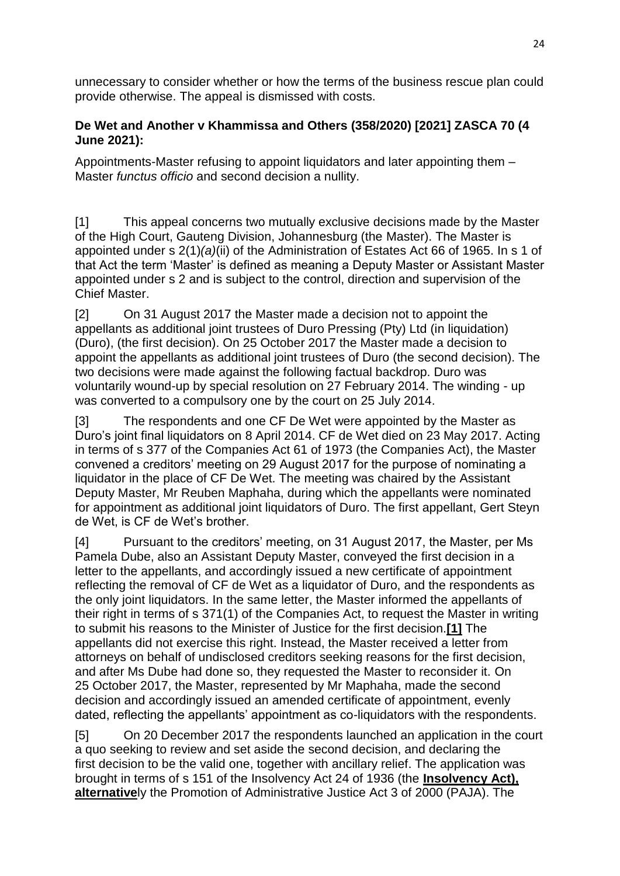unnecessary to consider whether or how the terms of the business rescue plan could provide otherwise. The appeal is dismissed with costs.

### **[De Wet and Another v Khammissa and Others \(358/2020\) \[2021\] ZASCA 70 \(4](http://www.saflii.org/za/cases/ZASCA/2021/70.html)  [June 2021\):](http://www.saflii.org/za/cases/ZASCA/2021/70.html)**

Appointments-Master refusing to appoint liquidators and later appointing them – Master *functus officio* and second decision a nullity.

[1] This appeal concerns two mutually exclusive decisions made by the Master of the High Court, Gauteng Division, Johannesburg (the Master). The Master is appointed under [s 2\(1\)](http://www.saflii.org/za/legis/consol_act/aoea1965274/index.html#s2)*(a)*(ii) of the Administration [of Estates Act 66 of 1965.](http://www.saflii.org/za/legis/consol_act/aoea1965274/) In [s 1](http://www.saflii.org/za/legis/consol_act/aoea1965274/index.html#s1) of that Act the term 'Master' is defined as meaning a Deputy Master or Assistant Master appointed under [s 2](http://www.saflii.org/za/legis/consol_act/aoea1965274/index.html#s2) and is subject to the control, direction and supervision of the Chief Master.

[2] On 31 August 2017 the Master made a decision not to appoint the appellants as additional joint trustees of Duro Pressing (Pty) Ltd (in liquidation) (Duro), (the first decision). On 25 October 2017 the Master made a decision to appoint the appellants as additional joint trustees of Duro (the second decision). The two decisions were made against the following factual backdrop. Duro was voluntarily wound-up by special resolution on 27 February 2014. The winding - up was converted to a compulsory one by the court on 25 July 2014.

[3] The respondents and one CF De Wet were appointed by the Master as Duro's joint final liquidators on 8 April 2014. CF de Wet died on 23 May 2017. Acting in terms of s 377 of the Companies Act 61 of 1973 (the Companies Act), the Master convened a creditors' meeting on 29 August 2017 for the purpose of nominating a liquidator in the place of CF De Wet. The meeting was chaired by the Assistant Deputy Master, Mr Reuben Maphaha, during which the appellants were nominated for appointment as additional joint liquidators of Duro. The first appellant, Gert Steyn de Wet, is CF de Wet's brother.

[4] Pursuant to the creditors' meeting, on 31 August 2017, the Master, per Ms Pamela Dube, also an Assistant Deputy Master, conveyed the first decision in a letter to the appellants, and accordingly issued a new certificate of appointment reflecting the removal of CF de Wet as a liquidator of Duro, and the respondents as the only joint liquidators. In the same letter, the Master informed the appellants of their right in terms of s 371(1) of the Companies Act, to request the Master in writing to submit his reasons to the Minister of Justice for the first decision.**[\[1\]](http://www.saflii.org/za/cases/ZASCA/2021/70.html#_ftn1)** The appellants did not exercise this right. Instead, the Master received a letter from attorneys on behalf of undisclosed creditors seeking reasons for the first decision, and after Ms Dube had done so, they requested the Master to reconsider it. On 25 October 2017, the Master, represented by Mr Maphaha, made the second decision and accordingly issued an amended certificate of appointment, evenly dated, reflecting the appellants' appointment as co-liquidators with the respondents.

[5] On 20 December 2017 the respondents launched an application in the court a quo seeking to review and set aside the second decision, and declaring the first decision to be the valid one, together with ancillary relief. The application was brought in terms of s 151 of the Insolvency Act 24 of 1936 (the **[Insolvency Act\),](http://www.saflii.org/za/legis/consol_act/ia1936149/)  [alternative](http://www.saflii.org/za/legis/consol_act/ia1936149/)**ly the Promotion of Administrative Justice Act 3 of 2000 (PAJA). The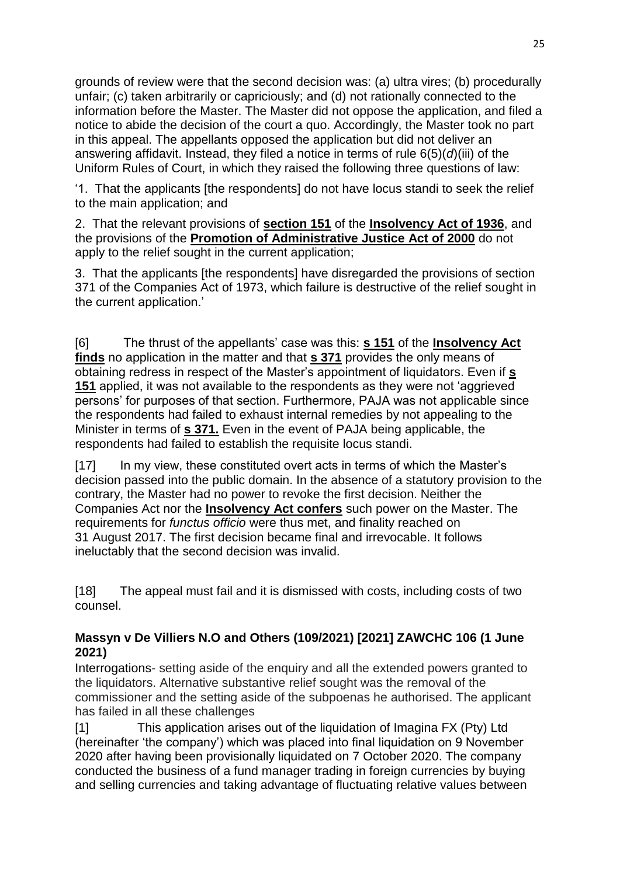grounds of review were that the second decision was: (a) ultra vires; (b) procedurally unfair; (c) taken arbitrarily or capriciously; and (d) not rationally connected to the information before the Master. The Master did not oppose the application, and filed a notice to abide the decision of the court a quo. Accordingly, the Master took no part in this appeal. The appellants opposed the application but did not deliver an answering affidavit. Instead, they filed a notice in terms of rule 6(5)(*d*)(iii) of the Uniform Rules of Court, in which they raised the following three questions of law:

'1. That the applicants [the respondents] do not have locus standi to seek the relief to the main application; and

2. That the relevant provisions of **[section 151](http://www.saflii.org/za/legis/consol_act/ia1936149/index.html#s151)** of the **[Insolvency Act of](http://www.saflii.org/za/legis/consol_act/ia1936149/) [1936](http://www.saflii.org/za/legis/consol_act/ia1936149/)**, and the provisions of the **[Promotion of Administrative Justice](http://www.saflii.org/za/legis/consol_act/poaja2000396/) [Act of 2000](http://www.saflii.org/za/legis/consol_act/poaja2000396/)** do not apply to the relief sought in the current application;

3. That the applicants [the respondents] have disregarded the provisions of section 371 of the Companies Act of 1973, which failure is destructive of the relief sought in the current application.'

[6] The thrust of the appellants' case was this: **[s 151](http://www.saflii.org/za/legis/consol_act/ia1936149/index.html#s151)** of the **[Insolvency Act](http://www.saflii.org/za/legis/consol_act/ia1936149/)  [finds](http://www.saflii.org/za/legis/consol_act/ia1936149/)** no application in the matter and that **[s 371](http://www.saflii.org/za/legis/consol_act/ia1936149/index.html#s371)** provides the only means of obtaining redress in respect of the Master's appointment of liquidators. Even if **[s](http://www.saflii.org/za/legis/consol_act/ia1936149/index.html#s151)  [151](http://www.saflii.org/za/legis/consol_act/ia1936149/index.html#s151)** applied, it was not available to the respondents as they were not 'aggrieved persons' for purposes of that section. Furthermore, PAJA was not applicable since the respondents had failed to exhaust internal remedies by not appealing to the Minister in terms of **[s 371.](http://www.saflii.org/za/legis/consol_act/ia1936149/index.html#s371)** Even in the event of PAJA being applicable, the respondents had failed to establish the requisite locus standi.

[17] In my view, these constituted overt acts in terms of which the Master's decision passed into the public domain. In the absence of a statutory provision to the contrary, the Master had no power to revoke the first decision. Neither the Companies Act nor the **[Insolvency Act confers](http://www.saflii.org/za/legis/consol_act/ia1936149/)** such power on the Master. The requirements for *functus officio* were thus met, and finality reached on 31 August 2017. The first decision became final and irrevocable. It follows ineluctably that the second decision was invalid.

[18] The appeal must fail and it is dismissed with costs, including costs of two counsel.

### **[Massyn v De Villiers N.O and Others \(109/2021\) \[2021\] ZAWCHC 106 \(1 June](http://www.saflii.org/za/cases/ZAWCHC/2021/106.html)  [2021\)](http://www.saflii.org/za/cases/ZAWCHC/2021/106.html)**

Interrogations- setting aside of the enquiry and all the extended powers granted to the liquidators. Alternative substantive relief sought was the removal of the commissioner and the setting aside of the subpoenas he authorised. The applicant has failed in all these challenges

[1] This application arises out of the liquidation of Imagina FX (Pty) Ltd (hereinafter 'the company') which was placed into final liquidation on 9 November 2020 after having been provisionally liquidated on 7 October 2020. The company conducted the business of a fund manager trading in foreign currencies by buying and selling currencies and taking advantage of fluctuating relative values between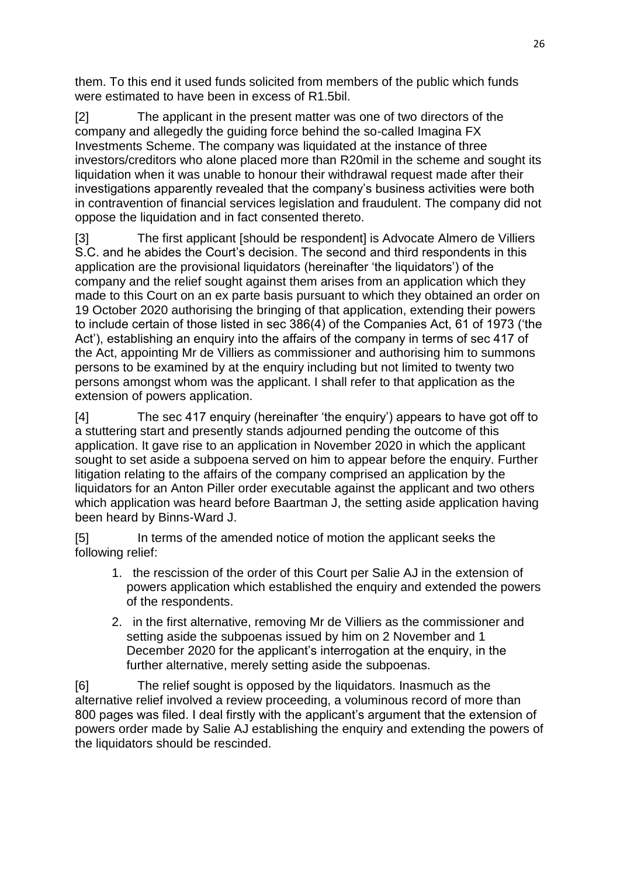them. To this end it used funds solicited from members of the public which funds were estimated to have been in excess of R1.5bil.

[2] The applicant in the present matter was one of two directors of the company and allegedly the guiding force behind the so-called Imagina FX Investments Scheme. The company was liquidated at the instance of three investors/creditors who alone placed more than R20mil in the scheme and sought its liquidation when it was unable to honour their withdrawal request made after their investigations apparently revealed that the company's business activities were both in contravention of financial services legislation and fraudulent. The company did not oppose the liquidation and in fact consented thereto.

[3] The first applicant [should be respondent] is Advocate Almero de Villiers S.C. and he abides the Court's decision. The second and third respondents in this application are the provisional liquidators (hereinafter 'the liquidators') of the company and the relief sought against them arises from an application which they made to this Court on an ex parte basis pursuant to which they obtained an order on 19 October 2020 authorising the bringing of that application, extending their powers to include certain of those listed in sec 386(4) of the Companies Act, 61 of 1973 ('the Act'), establishing an enquiry into the affairs of the company in terms of sec 417 of the Act, appointing Mr de Villiers as commissioner and authorising him to summons persons to be examined by at the enquiry including but not limited to twenty two persons amongst whom was the applicant. I shall refer to that application as the extension of powers application.

[4] The sec 417 enquiry (hereinafter 'the enquiry') appears to have got off to a stuttering start and presently stands adjourned pending the outcome of this application. It gave rise to an application in November 2020 in which the applicant sought to set aside a subpoena served on him to appear before the enquiry. Further litigation relating to the affairs of the company comprised an application by the liquidators for an Anton Piller order executable against the applicant and two others which application was heard before Baartman J, the setting aside application having been heard by Binns-Ward J.

[5] In terms of the amended notice of motion the applicant seeks the following relief:

- 1. the rescission of the order of this Court per Salie AJ in the extension of powers application which established the enquiry and extended the powers of the respondents.
- 2. in the first alternative, removing Mr de Villiers as the commissioner and setting aside the subpoenas issued by him on 2 November and 1 December 2020 for the applicant's interrogation at the enquiry, in the further alternative, merely setting aside the subpoenas.

[6] The relief sought is opposed by the liquidators. Inasmuch as the alternative relief involved a review proceeding, a voluminous record of more than 800 pages was filed. I deal firstly with the applicant's argument that the extension of powers order made by Salie AJ establishing the enquiry and extending the powers of the liquidators should be rescinded.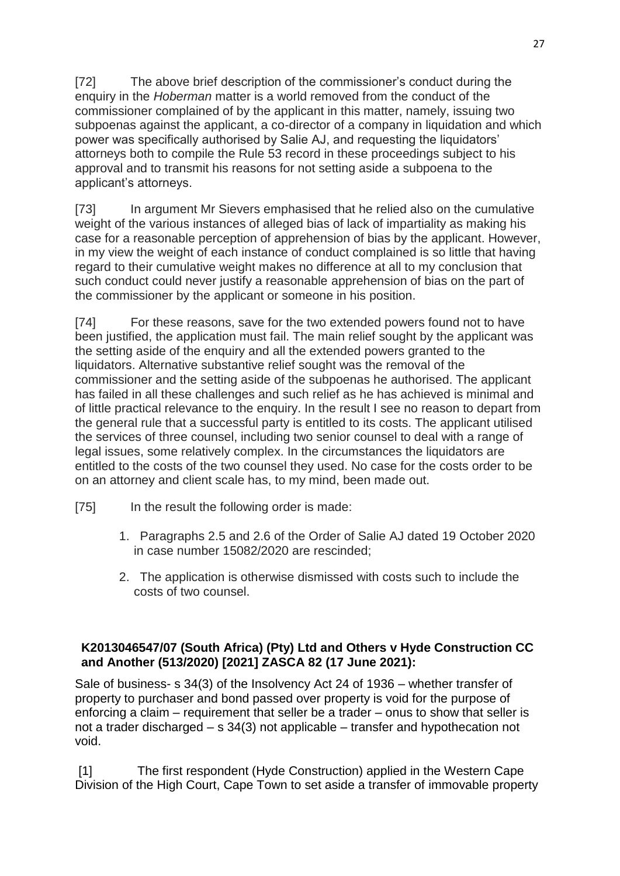[72] The above brief description of the commissioner's conduct during the enquiry in the *Hoberman* matter is a world removed from the conduct of the commissioner complained of by the applicant in this matter, namely, issuing two subpoenas against the applicant, a co-director of a company in liquidation and which power was specifically authorised by Salie AJ, and requesting the liquidators' attorneys both to compile the Rule 53 record in these proceedings subject to his approval and to transmit his reasons for not setting aside a subpoena to the applicant's attorneys.

[73] In argument Mr Sievers emphasised that he relied also on the cumulative weight of the various instances of alleged bias of lack of impartiality as making his case for a reasonable perception of apprehension of bias by the applicant. However, in my view the weight of each instance of conduct complained is so little that having regard to their cumulative weight makes no difference at all to my conclusion that such conduct could never justify a reasonable apprehension of bias on the part of the commissioner by the applicant or someone in his position.

[74] For these reasons, save for the two extended powers found not to have been justified, the application must fail. The main relief sought by the applicant was the setting aside of the enquiry and all the extended powers granted to the liquidators. Alternative substantive relief sought was the removal of the commissioner and the setting aside of the subpoenas he authorised. The applicant has failed in all these challenges and such relief as he has achieved is minimal and of little practical relevance to the enquiry. In the result I see no reason to depart from the general rule that a successful party is entitled to its costs. The applicant utilised the services of three counsel, including two senior counsel to deal with a range of legal issues, some relatively complex. In the circumstances the liquidators are entitled to the costs of the two counsel they used. No case for the costs order to be on an attorney and client scale has, to my mind, been made out.

- [75] In the result the following order is made:
	- 1. Paragraphs 2.5 and 2.6 of the Order of Salie AJ dated 19 October 2020 in case number 15082/2020 are rescinded;
	- 2. The application is otherwise dismissed with costs such to include the costs of two counsel.

### **[K2013046547/07 \(South Africa\) \(Pty\) Ltd and Others v Hyde Construction CC](http://www.saflii.org/za/cases/ZASCA/2021/82.html)  [and Another \(513/2020\) \[2021\] ZASCA 82 \(17 June 2021\):](http://www.saflii.org/za/cases/ZASCA/2021/82.html)**

Sale of business- s [34\(3\)](http://www.saflii.org/za/legis/consol_act/ia1936149/index.html#s34) of the [Insolvency Act 24 of 1936](http://www.saflii.org/za/legis/consol_act/ia1936149/) – whether transfer of property to purchaser and bond passed over property is void for the purpose of enforcing a claim – requirement that seller be a trader – onus to show that seller is not a trader discharged – s [34\(3\)](http://www.saflii.org/za/legis/consol_act/ia1936149/index.html#s34) not applicable – transfer and hypothecation not void.

[1] The first respondent (Hyde Construction) applied in the Western Cape Division of the High Court, Cape Town to set aside a transfer of immovable property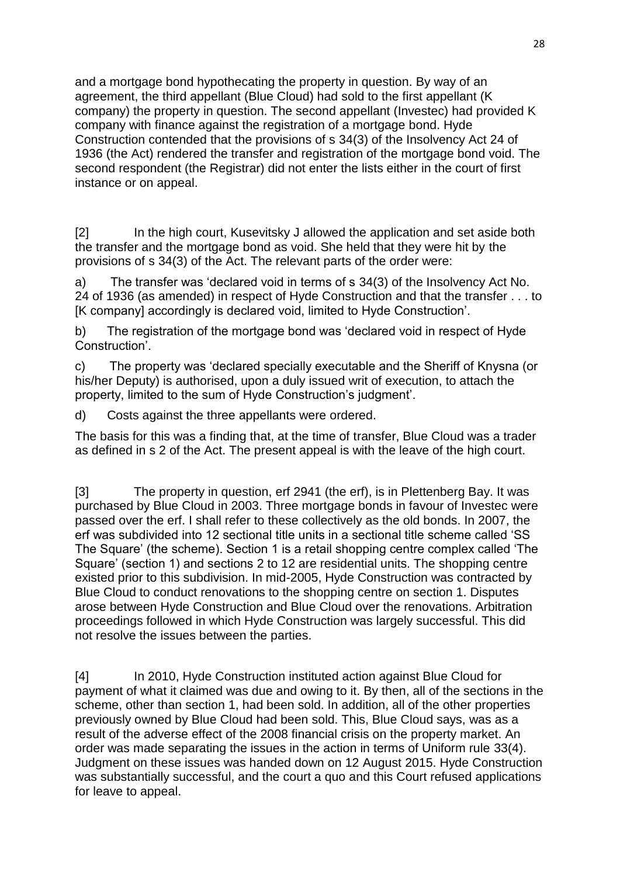and a mortgage bond hypothecating the property in question. By way of an agreement, the third appellant (Blue Cloud) had sold to the first appellant (K company) the property in question. The second appellant (Investec) had provided K company with finance against the registration of a mortgage bond. Hyde Construction contended that the provisions of s 34(3) of the Insolvency Act 24 of 1936 (the Act) rendered the transfer and registration of the mortgage bond void. The second respondent (the Registrar) did not enter the lists either in the court of first instance or on appeal.

[2] In the high court, Kusevitsky J allowed the application and set aside both the transfer and the mortgage bond as void. She held that they were hit by the provisions of s 34(3) of the Act. The relevant parts of the order were:

a) The transfer was 'declared void in terms of s 34(3) of the Insolvency Act No. 24 of 1936 (as amended) in respect of Hyde Construction and that the transfer . . . to [K company] accordingly is declared void, limited to Hyde Construction'.

b) The registration of the mortgage bond was 'declared void in respect of Hyde Construction'.

c) The property was 'declared specially executable and the Sheriff of Knysna (or his/her Deputy) is authorised, upon a duly issued writ of execution, to attach the property, limited to the sum of Hyde Construction's judgment'.

d) Costs against the three appellants were ordered.

The basis for this was a finding that, at the time of transfer, Blue Cloud was a trader as defined in s 2 of the Act. The present appeal is with the leave of the high court.

[3] The property in question, erf 2941 (the erf), is in Plettenberg Bay. It was purchased by Blue Cloud in 2003. Three mortgage bonds in favour of Investec were passed over the erf. I shall refer to these collectively as the old bonds. In 2007, the erf was subdivided into 12 sectional title units in a sectional title scheme called 'SS The Square' (the scheme). Section 1 is a retail shopping centre complex called 'The Square' (section 1) and sections 2 to 12 are residential units. The shopping centre existed prior to this subdivision. In mid-2005, Hyde Construction was contracted by Blue Cloud to conduct renovations to the shopping centre on section 1. Disputes arose between Hyde Construction and Blue Cloud over the renovations. Arbitration proceedings followed in which Hyde Construction was largely successful. This did not resolve the issues between the parties.

[4] In 2010, Hyde Construction instituted action against Blue Cloud for payment of what it claimed was due and owing to it. By then, all of the sections in the scheme, other than section 1, had been sold. In addition, all of the other properties previously owned by Blue Cloud had been sold. This, Blue Cloud says, was as a result of the adverse effect of the 2008 financial crisis on the property market. An order was made separating the issues in the action in terms of Uniform rule 33(4). Judgment on these issues was handed down on 12 August 2015. Hyde Construction was substantially successful, and the court a quo and this Court refused applications for leave to appeal.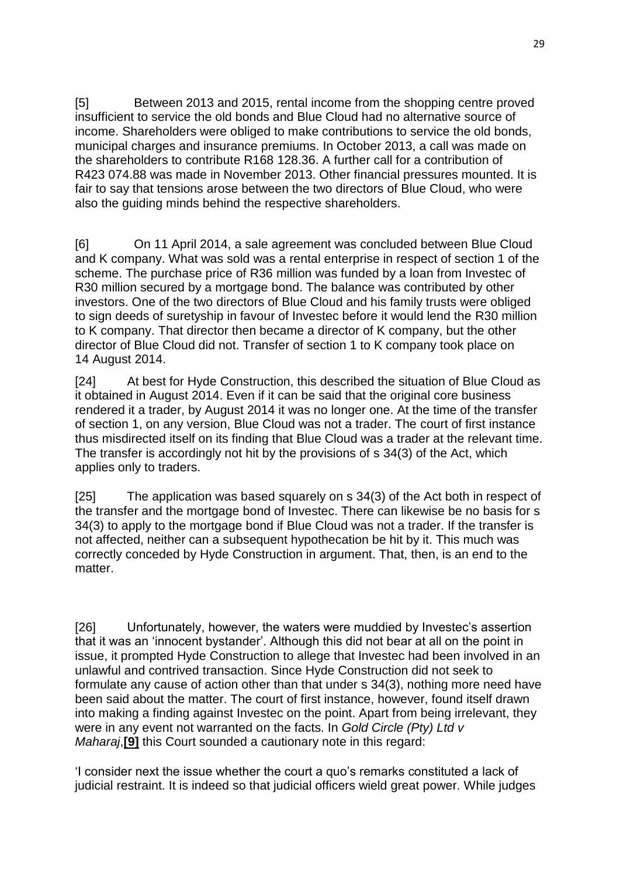[5] Between 2013 and 2015, rental income from the shopping centre proved insufficient to service the old bonds and Blue Cloud had no alternative source of income. Shareholders were obliged to make contributions to service the old bonds, municipal charges and insurance premiums. In October 2013, a call was made on the shareholders to contribute R168 128.36. A further call for a contribution of R423 074.88 was made in November 2013. Other financial pressures mounted. It is fair to say that tensions arose between the two directors of Blue Cloud, who were also the guiding minds behind the respective shareholders.

[6] On 11 April 2014, a sale agreement was concluded between Blue Cloud and K company. What was sold was a rental enterprise in respect of section 1 of the scheme. The purchase price of R36 million was funded by a loan from Investec of R30 million secured by a mortgage bond. The balance was contributed by other investors. One of the two directors of Blue Cloud and his family trusts were obliged to sign deeds of suretyship in favour of Investec before it would lend the R30 million to K company. That director then became a director of K company, but the other director of Blue Cloud did not. Transfer of section 1 to K company took place on 14 August 2014.

[24] At best for Hyde Construction, this described the situation of Blue Cloud as it obtained in August 2014. Even if it can be said that the original core business rendered it a trader, by August 2014 it was no longer one. At the time of the transfer of section 1, on any version, Blue Cloud was not a trader. The court of first instance thus misdirected itself on its finding that Blue Cloud was a trader at the relevant time. The transfer is accordingly not hit by the provisions of s 34(3) of the Act, which applies only to traders.

[25] The application was based squarely on s 34(3) of the Act both in respect of the transfer and the mortgage bond of Investec. There can likewise be no basis for s 34(3) to apply to the mortgage bond if Blue Cloud was not a trader. If the transfer is not affected, neither can a subsequent hypothecation be hit by it. This much was correctly conceded by Hyde Construction in argument. That, then, is an end to the matter

[26] Unfortunately, however, the waters were muddied by Investec's assertion that it was an 'innocent bystander'. Although this did not bear at all on the point in issue, it prompted Hyde Construction to allege that Investec had been involved in an unlawful and contrived transaction. Since Hyde Construction did not seek to formulate any cause of action other than that under s 34(3), nothing more need have been said about the matter. The court of first instance, however, found itself drawn into making a finding against Investec on the point. Apart from being irrelevant, they were in any event not warranted on the facts. In *Gold Circle (Pty) Ltd v Maharaj*, [\[9\]](http://www.saflii.org/za/cases/ZASCA/2021/82.html#_ftn9) this Court sounded a cautionary note in this regard:

'I consider next the issue whether the court a quo's remarks constituted a lack of judicial restraint. It is indeed so that judicial officers wield great power. While judges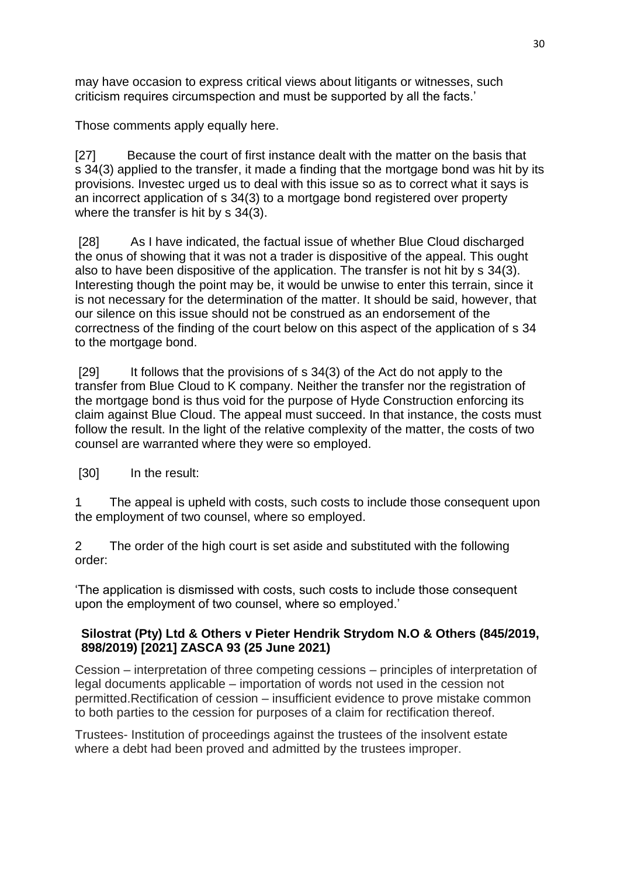may have occasion to express critical views about litigants or witnesses, such criticism requires circumspection and must be supported by all the facts.'

Those comments apply equally here.

[27] Because the court of first instance dealt with the matter on the basis that s 34(3) applied to the transfer, it made a finding that the mortgage bond was hit by its provisions. Investec urged us to deal with this issue so as to correct what it says is an incorrect application of s 34(3) to a mortgage bond registered over property where the transfer is hit by s 34(3).

[28] As I have indicated, the factual issue of whether Blue Cloud discharged the onus of showing that it was not a trader is dispositive of the appeal. This ought also to have been dispositive of the application. The transfer is not hit by s 34(3). Interesting though the point may be, it would be unwise to enter this terrain, since it is not necessary for the determination of the matter. It should be said, however, that our silence on this issue should not be construed as an endorsement of the correctness of the finding of the court below on this aspect of the application of s 34 to the mortgage bond.

[29] It follows that the provisions of s 34(3) of the Act do not apply to the transfer from Blue Cloud to K company. Neither the transfer nor the registration of the mortgage bond is thus void for the purpose of Hyde Construction enforcing its claim against Blue Cloud. The appeal must succeed. In that instance, the costs must follow the result. In the light of the relative complexity of the matter, the costs of two counsel are warranted where they were so employed.

[30] In the result:

1 The appeal is upheld with costs, such costs to include those consequent upon the employment of two counsel, where so employed.

2 The order of the high court is set aside and substituted with the following order:

'The application is dismissed with costs, such costs to include those consequent upon the employment of two counsel, where so employed.'

### **[Silostrat \(Pty\) Ltd & Others v Pieter Hendrik Strydom N.O & Others \(845/2019,](http://www.saflii.org/za/cases/ZASCA/2021/93.html)  [898/2019\) \[2021\] ZASCA 93 \(25 June 2021\)](http://www.saflii.org/za/cases/ZASCA/2021/93.html)**

Cession – interpretation of three competing cessions – principles of interpretation of legal documents applicable – importation of words not used in the cession not permitted.Rectification of cession – insufficient evidence to prove mistake common to both parties to the cession for purposes of a claim for rectification thereof.

Trustees- Institution of proceedings against the trustees of the insolvent estate where a debt had been proved and admitted by the trustees improper.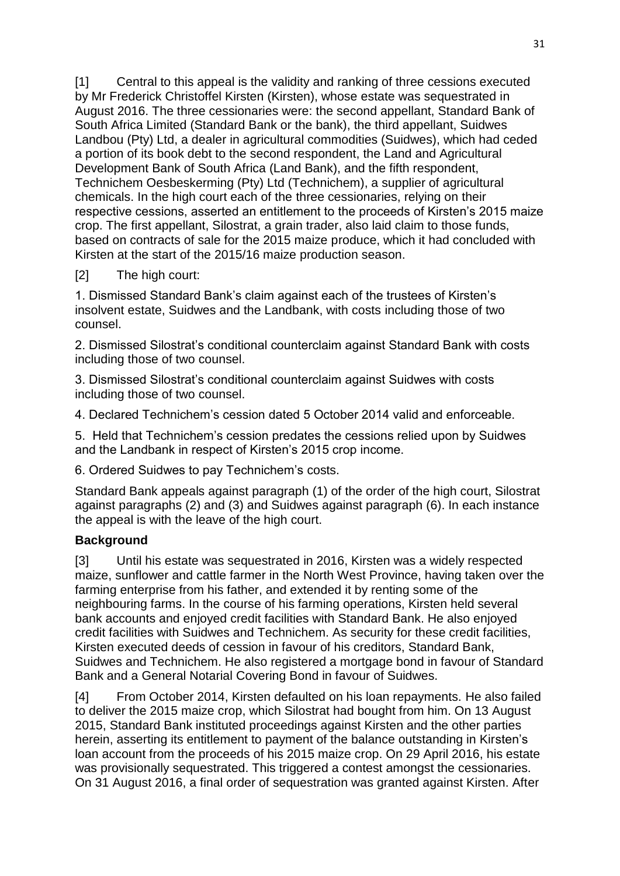[1] Central to this appeal is the validity and ranking of three cessions executed by Mr Frederick Christoffel Kirsten (Kirsten), whose estate was sequestrated in August 2016. The three cessionaries were: the second appellant, Standard Bank of South Africa Limited (Standard Bank or the bank), the third appellant, Suidwes Landbou (Pty) Ltd, a dealer in agricultural commodities (Suidwes), which had ceded a portion of its book debt to the second respondent, the Land and Agricultural Development Bank of South Africa (Land Bank), and the fifth respondent, Technichem Oesbeskerming (Pty) Ltd (Technichem), a supplier of agricultural chemicals. In the high court each of the three cessionaries, relying on their respective cessions, asserted an entitlement to the proceeds of Kirsten's 2015 maize crop. The first appellant, Silostrat, a grain trader, also laid claim to those funds, based on contracts of sale for the 2015 maize produce, which it had concluded with Kirsten at the start of the 2015/16 maize production season.

### [2] The high court:

1. Dismissed Standard Bank's claim against each of the trustees of Kirsten's insolvent estate, Suidwes and the Landbank, with costs including those of two counsel.

2. Dismissed Silostrat's conditional counterclaim against Standard Bank with costs including those of two counsel.

3. Dismissed Silostrat's conditional counterclaim against Suidwes with costs including those of two counsel.

4. Declared Technichem's cession dated 5 October 2014 valid and enforceable.

5. Held that Technichem's cession predates the cessions relied upon by Suidwes and the Landbank in respect of Kirsten's 2015 crop income.

6. Ordered Suidwes to pay Technichem's costs.

Standard Bank appeals against paragraph (1) of the order of the high court, Silostrat against paragraphs (2) and (3) and Suidwes against paragraph (6). In each instance the appeal is with the leave of the high court.

### **Background**

[3] Until his estate was sequestrated in 2016, Kirsten was a widely respected maize, sunflower and cattle farmer in the North West Province, having taken over the farming enterprise from his father, and extended it by renting some of the neighbouring farms. In the course of his farming operations, Kirsten held several bank accounts and enjoyed credit facilities with Standard Bank. He also enjoyed credit facilities with Suidwes and Technichem. As security for these credit facilities, Kirsten executed deeds of cession in favour of his creditors, Standard Bank, Suidwes and Technichem. He also registered a mortgage bond in favour of Standard Bank and a General Notarial Covering Bond in favour of Suidwes.

[4] From October 2014, Kirsten defaulted on his loan repayments. He also failed to deliver the 2015 maize crop, which Silostrat had bought from him. On 13 August 2015, Standard Bank instituted proceedings against Kirsten and the other parties herein, asserting its entitlement to payment of the balance outstanding in Kirsten's loan account from the proceeds of his 2015 maize crop. On 29 April 2016, his estate was provisionally sequestrated. This triggered a contest amongst the cessionaries. On 31 August 2016, a final order of sequestration was granted against Kirsten. After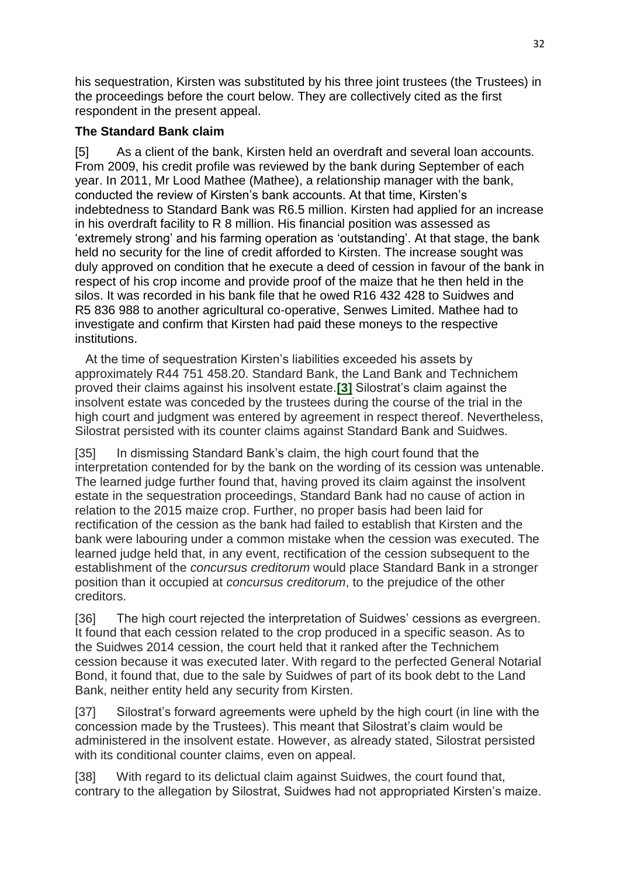his sequestration, Kirsten was substituted by his three joint trustees (the Trustees) in the proceedings before the court below. They are collectively cited as the first respondent in the present appeal.

## **The Standard Bank claim**

[5] As a client of the bank, Kirsten held an overdraft and several loan accounts. From 2009, his credit profile was reviewed by the bank during September of each year. In 2011, Mr Lood Mathee (Mathee), a relationship manager with the bank, conducted the review of Kirsten's bank accounts. At that time, Kirsten's indebtedness to Standard Bank was R6.5 million. Kirsten had applied for an increase in his overdraft facility to R 8 million. His financial position was assessed as 'extremely strong' and his farming operation as 'outstanding'. At that stage, the bank held no security for the line of credit afforded to Kirsten. The increase sought was duly approved on condition that he execute a deed of cession in favour of the bank in respect of his crop income and provide proof of the maize that he then held in the silos. It was recorded in his bank file that he owed R16 432 428 to Suidwes and R5 836 988 to another agricultural co-operative, Senwes Limited. Mathee had to investigate and confirm that Kirsten had paid these moneys to the respective institutions.

 At the time of sequestration Kirsten's liabilities exceeded his assets by approximately R44 751 458.20. Standard Bank, the Land Bank and Technichem proved their claims against his insolvent estate.**[\[3\]](http://www.saflii.org/za/cases/ZASCA/2021/93.html#_ftn3)** Silostrat's claim against the insolvent estate was conceded by the trustees during the course of the trial in the high court and judgment was entered by agreement in respect thereof. Nevertheless, Silostrat persisted with its counter claims against Standard Bank and Suidwes.

[35] In dismissing Standard Bank's claim, the high court found that the interpretation contended for by the bank on the wording of its cession was untenable. The learned judge further found that, having proved its claim against the insolvent estate in the sequestration proceedings, Standard Bank had no cause of action in relation to the 2015 maize crop. Further, no proper basis had been laid for rectification of the cession as the bank had failed to establish that Kirsten and the bank were labouring under a common mistake when the cession was executed. The learned judge held that, in any event, rectification of the cession subsequent to the establishment of the *concursus creditorum* would place Standard Bank in a stronger position than it occupied at *concursus creditorum*, to the prejudice of the other creditors.

[36] The high court rejected the interpretation of Suidwes' cessions as evergreen. It found that each cession related to the crop produced in a specific season. As to the Suidwes 2014 cession, the court held that it ranked after the Technichem cession because it was executed later. With regard to the perfected General Notarial Bond, it found that, due to the sale by Suidwes of part of its book debt to the Land Bank, neither entity held any security from Kirsten.

[37] Silostrat's forward agreements were upheld by the high court (in line with the concession made by the Trustees). This meant that Silostrat's claim would be administered in the insolvent estate. However, as already stated, Silostrat persisted with its conditional counter claims, even on appeal.

[38] With regard to its delictual claim against Suidwes, the court found that, contrary to the allegation by Silostrat, Suidwes had not appropriated Kirsten's maize.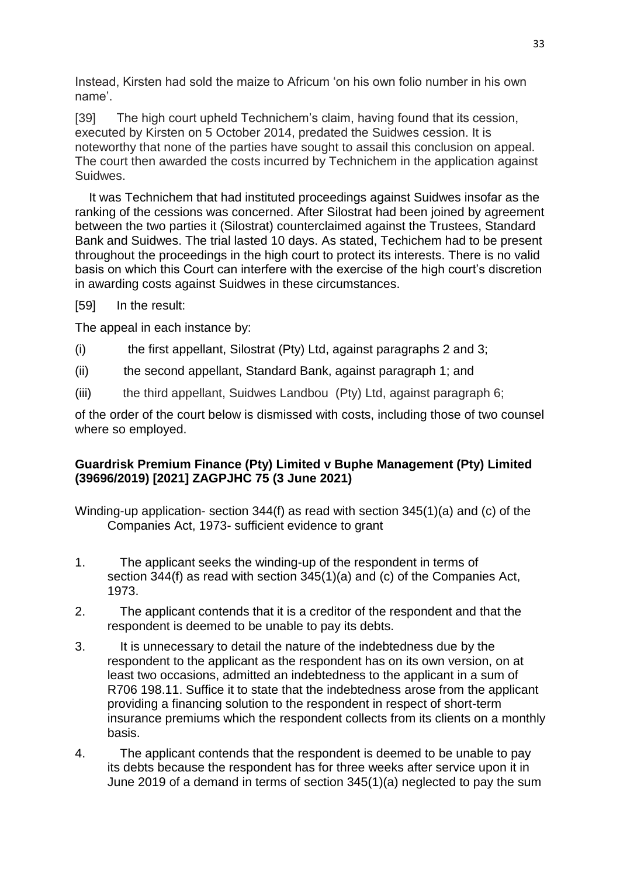Instead, Kirsten had sold the maize to Africum 'on his own folio number in his own name'.

[39] The high court upheld Technichem's claim, having found that its cession, executed by Kirsten on 5 October 2014, predated the Suidwes cession. It is noteworthy that none of the parties have sought to assail this conclusion on appeal. The court then awarded the costs incurred by Technichem in the application against Suidwes.

 It was Technichem that had instituted proceedings against Suidwes insofar as the ranking of the cessions was concerned. After Silostrat had been joined by agreement between the two parties it (Silostrat) counterclaimed against the Trustees, Standard Bank and Suidwes. The trial lasted 10 days. As stated, Techichem had to be present throughout the proceedings in the high court to protect its interests. There is no valid basis on which this Court can interfere with the exercise of the high court's discretion in awarding costs against Suidwes in these circumstances.

[59] In the result:

The appeal in each instance by:

- (i) the first appellant, Silostrat (Pty) Ltd, against paragraphs 2 and 3;
- (ii) the second appellant, Standard Bank, against paragraph 1; and
- (iii) the third appellant, Suidwes Landbou (Pty) Ltd, against paragraph 6;

of the order of the court below is dismissed with costs, including those of two counsel where so employed.

## **[Guardrisk Premium Finance \(Pty\) Limited v Buphe Management \(Pty\) Limited](http://www.saflii.org/za/cases/ZAGPJHC/2021/75.html)  [\(39696/2019\) \[2021\] ZAGPJHC 75 \(3 June 2021\)](http://www.saflii.org/za/cases/ZAGPJHC/2021/75.html)**

Winding-up application- section 344(f) as read with section 345(1)(a) and (c) of the Companies Act, 1973- sufficient evidence to grant

- 1. The applicant seeks the winding-up of the respondent in terms of section 344(f) as read with section 345(1)(a) and (c) of the Companies Act, 1973.
- 2. The applicant contends that it is a creditor of the respondent and that the respondent is deemed to be unable to pay its debts.
- 3. It is unnecessary to detail the nature of the indebtedness due by the respondent to the applicant as the respondent has on its own version, on at least two occasions, admitted an indebtedness to the applicant in a sum of R706 198.11. Suffice it to state that the indebtedness arose from the applicant providing a financing solution to the respondent in respect of short-term insurance premiums which the respondent collects from its clients on a monthly basis.
- 4. The applicant contends that the respondent is deemed to be unable to pay its debts because the respondent has for three weeks after service upon it in June 2019 of a demand in terms of section 345(1)(a) neglected to pay the sum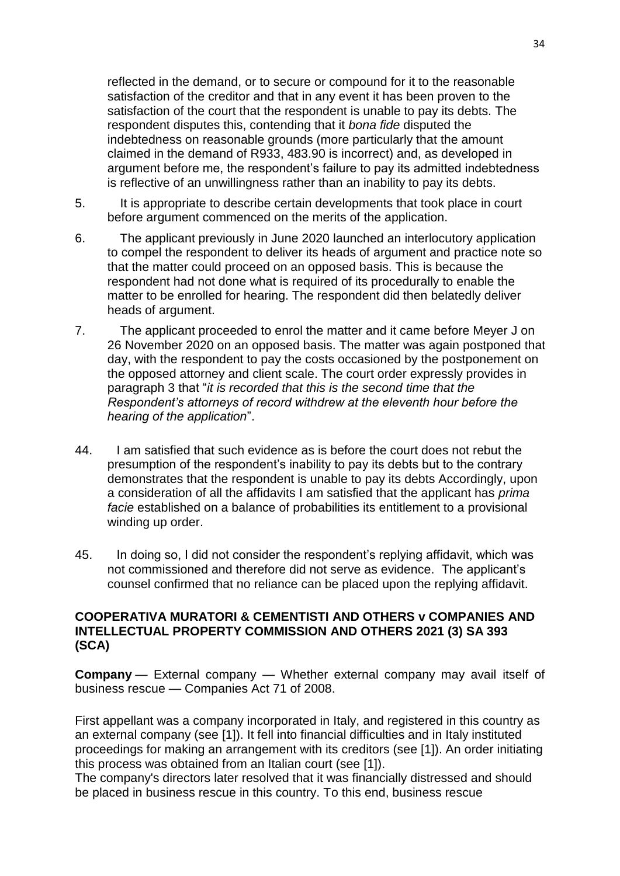reflected in the demand, or to secure or compound for it to the reasonable satisfaction of the creditor and that in any event it has been proven to the satisfaction of the court that the respondent is unable to pay its debts. The respondent disputes this, contending that it *bona fide* disputed the indebtedness on reasonable grounds (more particularly that the amount claimed in the demand of R933, 483.90 is incorrect) and, as developed in argument before me, the respondent's failure to pay its admitted indebtedness is reflective of an unwillingness rather than an inability to pay its debts.

- 5. It is appropriate to describe certain developments that took place in court before argument commenced on the merits of the application.
- 6. The applicant previously in June 2020 launched an interlocutory application to compel the respondent to deliver its heads of argument and practice note so that the matter could proceed on an opposed basis. This is because the respondent had not done what is required of its procedurally to enable the matter to be enrolled for hearing. The respondent did then belatedly deliver heads of argument.
- 7. The applicant proceeded to enrol the matter and it came before Meyer J on 26 November 2020 on an opposed basis. The matter was again postponed that day, with the respondent to pay the costs occasioned by the postponement on the opposed attorney and client scale. The court order expressly provides in paragraph 3 that "*it is recorded that this is the second time that the Respondent's attorneys of record withdrew at the eleventh hour before the hearing of the application*".
- 44. I am satisfied that such evidence as is before the court does not rebut the presumption of the respondent's inability to pay its debts but to the contrary demonstrates that the respondent is unable to pay its debts Accordingly, upon a consideration of all the affidavits I am satisfied that the applicant has *prima facie* established on a balance of probabilities its entitlement to a provisional winding up order.
- 45. In doing so, I did not consider the respondent's replying affidavit, which was not commissioned and therefore did not serve as evidence. The applicant's counsel confirmed that no reliance can be placed upon the replying affidavit.

### **COOPERATIVA MURATORI & CEMENTISTI AND OTHERS v COMPANIES AND INTELLECTUAL PROPERTY COMMISSION AND OTHERS 2021 (3) SA 393 (SCA)**

**Company** — External company — Whether external company may avail itself of business rescue — Companies Act 71 of 2008.

First appellant was a company incorporated in Italy, and registered in this country as an external company (see [1]). It fell into financial difficulties and in Italy instituted proceedings for making an arrangement with its creditors (see [1]). An order initiating this process was obtained from an Italian court (see [1]).

The company's directors later resolved that it was financially distressed and should be placed in business rescue in this country. To this end, business rescue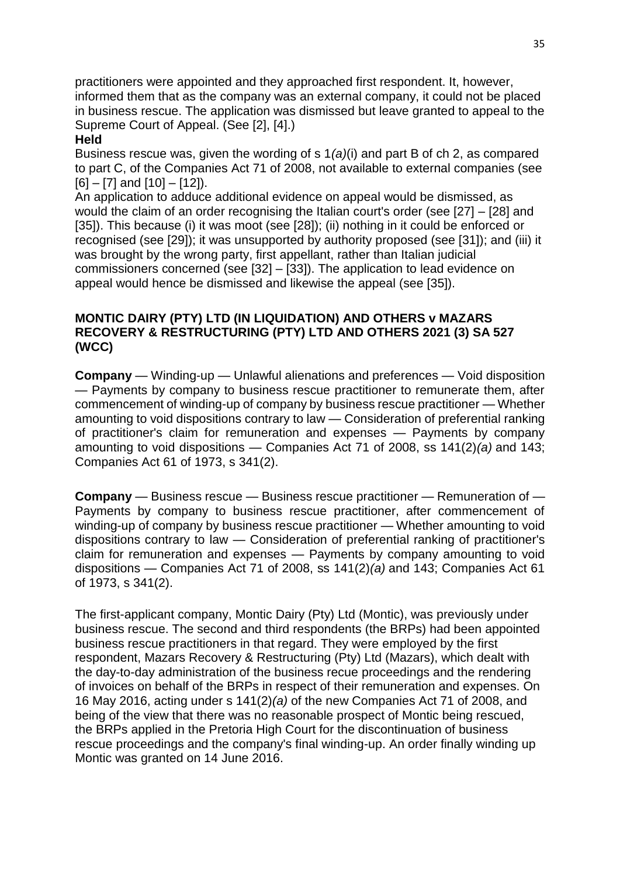practitioners were appointed and they approached first respondent. It, however, informed them that as the company was an external company, it could not be placed in business rescue. The application was dismissed but leave granted to appeal to the Supreme Court of Appeal. (See [2], [4].)

#### **Held**

Business rescue was, given the wording of s 1*(a)*(i) and part B of ch 2, as compared to part C, of the Companies Act 71 of 2008, not available to external companies (see  $[6] - [7]$  and  $[10] - [12]$ .

An application to adduce additional evidence on appeal would be dismissed, as would the claim of an order recognising the Italian court's order (see [27] – [28] and [35]). This because (i) it was moot (see [28]); (ii) nothing in it could be enforced or recognised (see [29]); it was unsupported by authority proposed (see [31]); and (iii) it was brought by the wrong party, first appellant, rather than Italian judicial commissioners concerned (see [32] – [33]). The application to lead evidence on appeal would hence be dismissed and likewise the appeal (see [35]).

### **MONTIC DAIRY (PTY) LTD (IN LIQUIDATION) AND OTHERS v MAZARS RECOVERY & RESTRUCTURING (PTY) LTD AND OTHERS 2021 (3) SA 527 (WCC)**

**Company** — Winding-up — Unlawful alienations and preferences — Void disposition — Payments by company to business rescue practitioner to remunerate them, after commencement of winding-up of company by business rescue practitioner — Whether amounting to void dispositions contrary to law — Consideration of preferential ranking of practitioner's claim for remuneration and expenses — Payments by company amounting to void dispositions — Companies Act 71 of 2008, ss 141(2)*(a)* and 143; Companies Act 61 of 1973, s 341(2).

**Company** — Business rescue — Business rescue practitioner — Remuneration of — Payments by company to business rescue practitioner, after commencement of winding-up of company by business rescue practitioner — Whether amounting to void dispositions contrary to law — Consideration of preferential ranking of practitioner's claim for remuneration and expenses — Payments by company amounting to void dispositions — Companies Act 71 of 2008, ss 141(2)*(a)* and 143; Companies Act 61 of 1973, s 341(2).

The first-applicant company, Montic Dairy (Pty) Ltd (Montic), was previously under business rescue. The second and third respondents (the BRPs) had been appointed business rescue practitioners in that regard. They were employed by the first respondent, Mazars Recovery & Restructuring (Pty) Ltd (Mazars), which dealt with the day-to-day administration of the business recue proceedings and the rendering of invoices on behalf of the BRPs in respect of their remuneration and expenses. On 16 May 2016, acting under s 141(2)*(a)* of the new Companies Act 71 of 2008, and being of the view that there was no reasonable prospect of Montic being rescued, the BRPs applied in the Pretoria High Court for the discontinuation of business rescue proceedings and the company's final winding-up. An order finally winding up Montic was granted on 14 June 2016.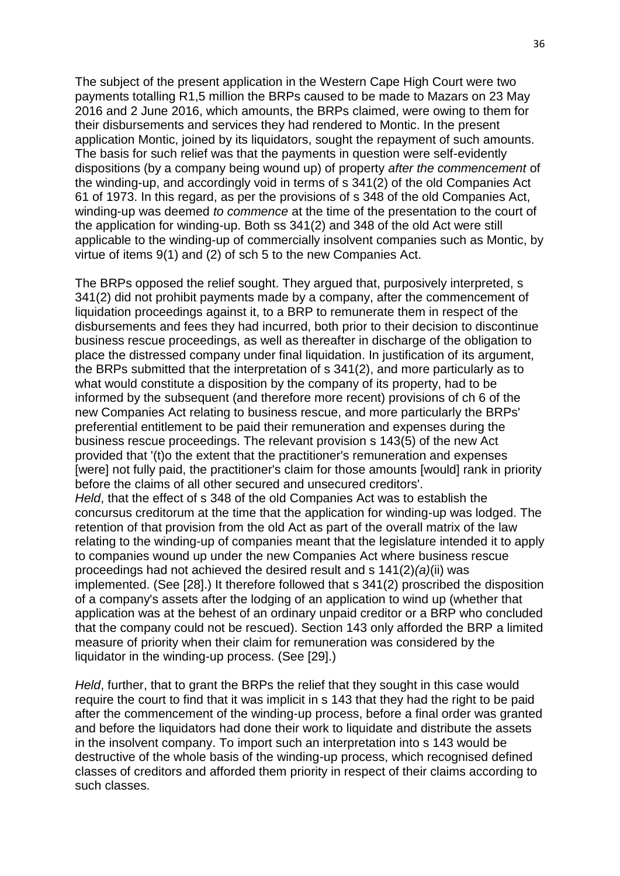The subject of the present application in the Western Cape High Court were two payments totalling R1,5 million the BRPs caused to be made to Mazars on 23 May 2016 and 2 June 2016, which amounts, the BRPs claimed, were owing to them for their disbursements and services they had rendered to Montic. In the present application Montic, joined by its liquidators, sought the repayment of such amounts. The basis for such relief was that the payments in question were self-evidently dispositions (by a company being wound up) of property *after the commencement* of the winding-up, and accordingly void in terms of s 341(2) of the old Companies Act 61 of 1973. In this regard, as per the provisions of s 348 of the old Companies Act, winding-up was deemed *to commence* at the time of the presentation to the court of the application for winding-up. Both ss 341(2) and 348 of the old Act were still applicable to the winding-up of commercially insolvent companies such as Montic, by virtue of items 9(1) and (2) of sch 5 to the new Companies Act.

The BRPs opposed the relief sought. They argued that, purposively interpreted, s 341(2) did not prohibit payments made by a company, after the commencement of liquidation proceedings against it, to a BRP to remunerate them in respect of the disbursements and fees they had incurred, both prior to their decision to discontinue business rescue proceedings, as well as thereafter in discharge of the obligation to place the distressed company under final liquidation. In justification of its argument, the BRPs submitted that the interpretation of s 341(2), and more particularly as to what would constitute a disposition by the company of its property, had to be informed by the subsequent (and therefore more recent) provisions of ch 6 of the new Companies Act relating to business rescue, and more particularly the BRPs' preferential entitlement to be paid their remuneration and expenses during the business rescue proceedings. The relevant provision s 143(5) of the new Act provided that '(t)o the extent that the practitioner's remuneration and expenses [were] not fully paid, the practitioner's claim for those amounts [would] rank in priority before the claims of all other secured and unsecured creditors'. *Held*, that the effect of s 348 of the old Companies Act was to establish the concursus creditorum at the time that the application for winding-up was lodged. The retention of that provision from the old Act as part of the overall matrix of the law relating to the winding-up of companies meant that the legislature intended it to apply to companies wound up under the new Companies Act where business rescue proceedings had not achieved the desired result and s 141(2)*(a)*(ii) was implemented. (See [28].) It therefore followed that s 341(2) proscribed the disposition of a company's assets after the lodging of an application to wind up (whether that application was at the behest of an ordinary unpaid creditor or a BRP who concluded that the company could not be rescued). Section 143 only afforded the BRP a limited measure of priority when their claim for remuneration was considered by the liquidator in the winding-up process. (See [29].)

*Held*, further, that to grant the BRPs the relief that they sought in this case would require the court to find that it was implicit in s 143 that they had the right to be paid after the commencement of the winding-up process, before a final order was granted and before the liquidators had done their work to liquidate and distribute the assets in the insolvent company. To import such an interpretation into s 143 would be destructive of the whole basis of the winding-up process, which recognised defined classes of creditors and afforded them priority in respect of their claims according to such classes.